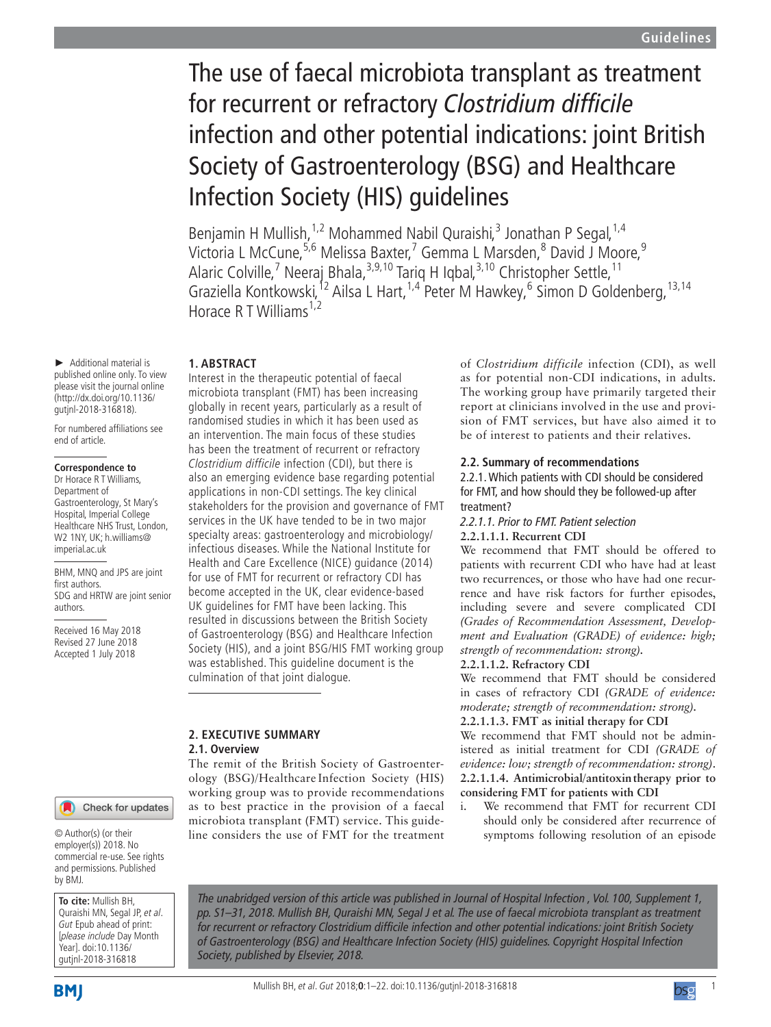# The use of faecal microbiota transplant as treatment for recurrent or refractory *Clostridium difficile* infection and other potential indications: joint British Society of Gastroenterology (BSG) and Healthcare Infection Society (HIS) guidelines

Benjamin H Mullish, <sup>1,2</sup> Mohammed Nabil Quraishi, <sup>3</sup> Jonathan P Segal, <sup>1,4</sup> Victoria L McCune,<sup>5,6</sup> Melissa Baxter,<sup>7</sup> Gemma L Marsden,<sup>8</sup> David J Moore,<sup>9</sup> Alaric Colville,<sup>7</sup> Neeraj Bhala,<sup>3,9,10</sup> Tariq H Iqbal,<sup>3,10</sup> Christopher Settle,<sup>11</sup> Graziella Kontkowski, <sup>12</sup> Ailsa L Hart, <sup>1,4</sup> Peter M Hawkey, <sup>6</sup> Simon D Goldenberg, <sup>13, 14</sup> Horace R T Williams<sup>1,2</sup>

# **1. Abstract**

► Additional material is published online only. To view please visit the journal online (http://dx.doi.org/10.1136/ gutjnl-2018-316818).

For numbered affiliations see end of article.

#### **Correspondence to**

Dr Horace R T Williams, Department of Gastroenterology, St Mary's Hospital, Imperial College Healthcare NHS Trust, London, W2 1NY, UK; h.williams@ imperial.ac.uk

BHM, MNQ and JPS are joint first authors. SDG and HRTW are joint senior authors.

Received 16 May 2018 Revised 27 June 2018 Accepted 1 July 2018

# Check for updates

© Author(s) (or their employer(s)) 2018. No commercial re-use. See rights and permissions. Published by BMJ.

**To cite:** Mullish BH, Quraishi MN, Segal JP, et al. Gut Epub ahead of print: [please include Day Month Year]. doi:10.1136/ gutjnl-2018-316818

**BMI** 

Interest in the therapeutic potential of faecal microbiota transplant (FMT) has been increasing globally in recent years, particularly as a result of randomised studies in which it has been used as an intervention. The main focus of these studies has been the treatment of recurrent or refractory Clostridium difficile infection (CDI), but there is also an emerging evidence base regarding potential applications in non-CDI settings. The key clinical stakeholders for the provision and governance of FMT services in the UK have tended to be in two major specialty areas: gastroenterology and microbiology/ infectious diseases. While the National Institute for Health and Care Excellence (NICE) guidance (2014) for use of FMT for recurrent or refractory CDI has become accepted in the UK, clear evidence-based UK guidelines for FMT have been lacking. This resulted in discussions between the British Society of Gastroenterology (BSG) and Healthcare Infection Society (HIS), and a joint BSG/HIS FMT working group was established. This guideline document is the culmination of that joint dialogue.

#### **2. Executive summary 2.1. Overview**

The remit of the British Society of Gastroenterology (BSG)/Healthcare Infection Society (HIS) working group was to provide recommendations as to best practice in the provision of a faecal microbiota transplant (FMT) service. This guideline considers the use of FMT for the treatment of *Clostridium difficile* infection (CDI), as well as for potential non-CDI indications, in adults. The working group have primarily targeted their report at clinicians involved in the use and provision of FMT services, but have also aimed it to be of interest to patients and their relatives.

### **2.2. Summary of recommendations**

2.2.1. Which patients with CDI should be considered for FMT, and how should they be followed-up after treatment?

# *2.2.1.1. Prior to FMT. Patient selection*

### **2.2.1.1.1. Recurrent CDI**

We recommend that FMT should be offered to patients with recurrent CDI who have had at least two recurrences, or those who have had one recurrence and have risk factors for further episodes, including severe and severe complicated CDI *(Grades of Recommendation Assessment, Development and Evaluation (GRADE) of evidence: high; strength of recommendation: strong).*

# **2.2.1.1.2. Refractory CDI**

We recommend that FMT should be considered in cases of refractory CDI *(GRADE of evidence: moderate; strength of recommendation: strong).*

# **2.2.1.1.3. FMT as initial therapy for CDI**

We recommend that FMT should not be administered as initial treatment for CDI *(GRADE of evidence: low; strength of recommendation: strong)*. **2.2.1.1.4. Antimicrobial/antitoxintherapy prior to considering FMT for patients with CDI**

i. We recommend that FMT for recurrent CDI should only be considered after recurrence of symptoms following resolution of an episode

*The unabridged version of this article was published in Journal of Hospital Infection , Vol. 100, Supplement 1, pp. S1–31, 2018. Mullish BH, Quraishi MN, Segal J et al. The use of faecal microbiota transplant as treatment for recurrent or refractory Clostridium difficile infection and other potential indications: joint British Society of Gastroenterology (BSG) and Healthcare Infection Society (HIS) guidelines. Copyright Hospital Infection Society, published by Elsevier, 2018.*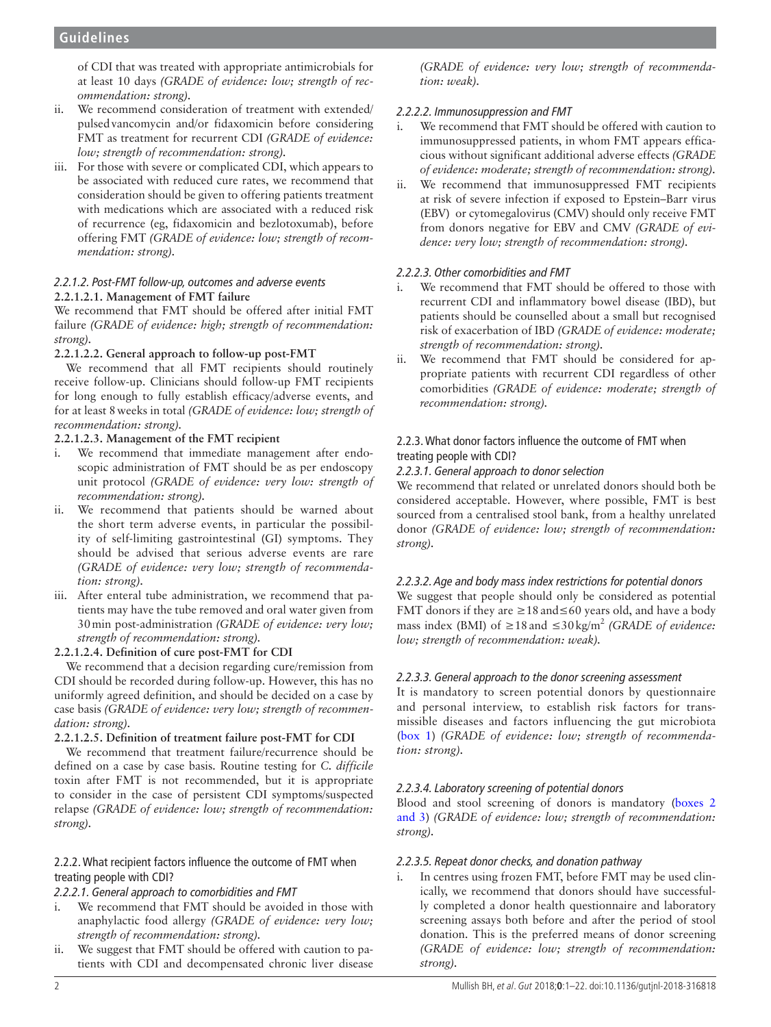of CDI that was treated with appropriate antimicrobials for at least 10 days *(GRADE of evidence: low; strength of recommendation: strong).*

- ii. We recommend consideration of treatment with extended/ pulsedvancomycin and/or fidaxomicin before considering FMT as treatment for recurrent CDI *(GRADE of evidence: low; strength of recommendation: strong).*
- iii. For those with severe or complicated CDI, which appears to be associated with reduced cure rates, we recommend that consideration should be given to offering patients treatment with medications which are associated with a reduced risk of recurrence (eg, fidaxomicin and bezlotoxumab), before offering FMT *(GRADE of evidence: low; strength of recommendation: strong).*

# *2.2.1.2. Post-FMT follow-up, outcomes and adverse events* **2.2.1.2.1. Management of FMT failure**

We recommend that FMT should be offered after initial FMT failure *(GRADE of evidence: high; strength of recommendation: strong).*

# **2.2.1.2.2. General approach to follow-up post-FMT**

We recommend that all FMT recipients should routinely receive follow-up. Clinicians should follow-up FMT recipients for long enough to fully establish efficacy/adverse events, and for at least 8weeks in total *(GRADE of evidence: low; strength of recommendation: strong).*

# **2.2.1.2.3. Management of the FMT recipient**

- i. We recommend that immediate management after endoscopic administration of FMT should be as per endoscopy unit protocol *(GRADE of evidence: very low: strength of recommendation: strong).*
- ii. We recommend that patients should be warned about the short term adverse events, in particular the possibility of self-limiting gastrointestinal (GI) symptoms. They should be advised that serious adverse events are rare *(GRADE of evidence: very low; strength of recommendation: strong).*
- iii. After enteral tube administration, we recommend that patients may have the tube removed and oral water given from 30min post-administration *(GRADE of evidence: very low; strength of recommendation: strong).*

# **2.2.1.2.4. Definition of cure post-FMT for CDI**

We recommend that a decision regarding cure/remission from CDI should be recorded during follow-up. However, this has no uniformly agreed definition, and should be decided on a case by case basis *(GRADE of evidence: very low; strength of recommendation: strong).*

# **2.2.1.2.5. Definition of treatment failure post-FMT for CDI**

We recommend that treatment failure/recurrence should be defined on a case by case basis. Routine testing for *C. difficile* toxin after FMT is not recommended, but it is appropriate to consider in the case of persistent CDI symptoms/suspected relapse *(GRADE of evidence: low; strength of recommendation: strong).*

# 2.2.2. What recipient factors influence the outcome of FMT when treating people with CDI?

# *2.2.2.1. General approach to comorbidities and FMT*

- i. We recommend that FMT should be avoided in those with anaphylactic food allergy *(GRADE of evidence: very low; strength of recommendation: strong).*
- ii. We suggest that FMT should be offered with caution to patients with CDI and decompensated chronic liver disease

*(GRADE of evidence: very low; strength of recommendation: weak).*

# *2.2.2.2. Immunosuppression and FMT*

- i. We recommend that FMT should be offered with caution to immunosuppressed patients, in whom FMT appears efficacious without significant additional adverse effects *(GRADE of evidence: moderate; strength of recommendation: strong).*
- ii. We recommend that immunosuppressed FMT recipients at risk of severe infection if exposed to Epstein–Barr virus (EBV) or cytomegalovirus (CMV) should only receive FMT from donors negative for EBV and CMV *(GRADE of evidence: very low; strength of recommendation: strong).*

# *2.2.2.3. Other comorbidities and FMT*

- i. We recommend that FMT should be offered to those with recurrent CDI and inflammatory bowel disease (IBD), but patients should be counselled about a small but recognised risk of exacerbation of IBD *(GRADE of evidence: moderate; strength of recommendation: strong).*
- ii. We recommend that FMT should be considered for appropriate patients with recurrent CDI regardless of other comorbidities *(GRADE of evidence: moderate; strength of recommendation: strong).*

# 2.2.3. What donor factors influence the outcome of FMT when treating people with CDI?

# *2.2.3.1. General approach to donor selection*

We recommend that related or unrelated donors should both be considered acceptable. However, where possible, FMT is best sourced from a centralised stool bank, from a healthy unrelated donor *(GRADE of evidence: low; strength of recommendation: strong).*

# *2.2.3.2. Age and body mass index restrictions for potential donors*

We suggest that people should only be considered as potential FMT donors if they are ≥18and≤60 years old, and have a body mass index (BMI) of ≥18 and ≤30 kg/m<sup>2</sup> (GRADE of *evidence*: *low; strength of recommendation: weak).*

# *2.2.3.3. General approach to the donor screening assessment*

It is mandatory to screen potential donors by questionnaire and personal interview, to establish risk factors for transmissible diseases and factors influencing the gut microbiota ([box](#page-2-0) 1) *(GRADE of evidence: low; strength of recommendation: strong).*

# *2.2.3.4. Laboratory screening of potential donors*

Blood and stool screening of donors is mandatory ([boxes 2](#page-2-1) [and 3](#page-2-1)) *(GRADE of evidence: low; strength of recommendation: strong).*

# *2.2.3.5. Repeat donor checks, and donation pathway*

i. In centres using frozen FMT, before FMT may be used clinically, we recommend that donors should have successfully completed a donor health questionnaire and laboratory screening assays both before and after the period of stool donation. This is the preferred means of donor screening *(GRADE of evidence: low; strength of recommendation: strong).*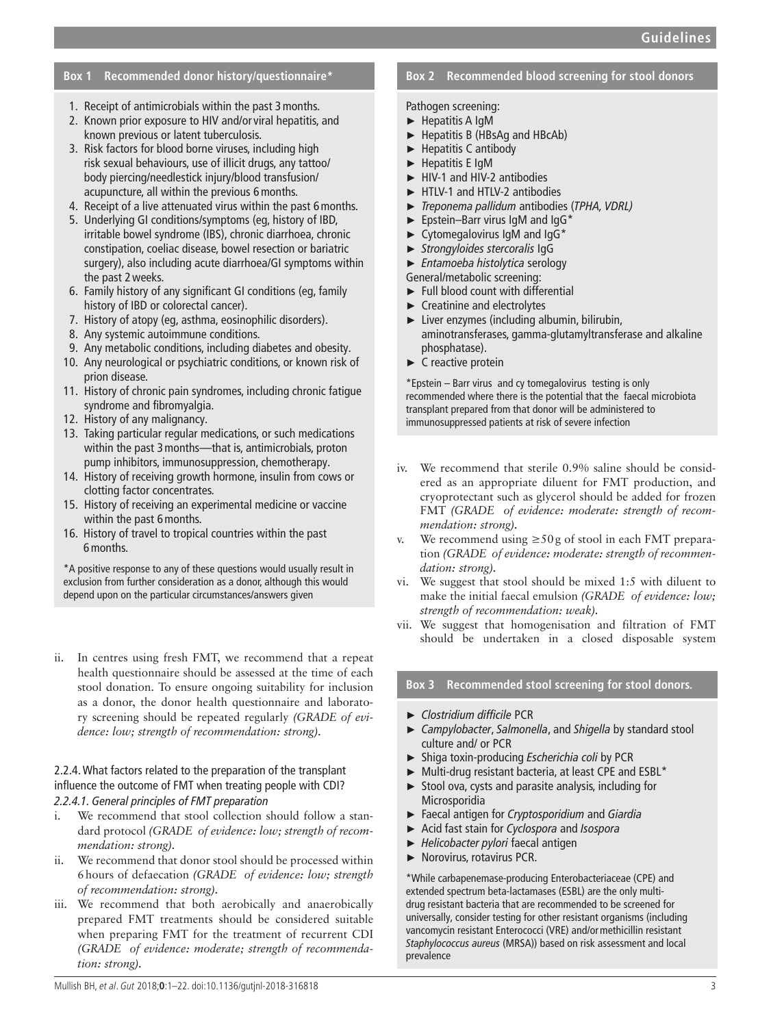# **Box 1 Recommended donor history/questionnaire\***

- <span id="page-2-0"></span>1. Receipt of antimicrobials within the past 3months.
- 2. Known prior exposure to HIV and/or viral hepatitis, and known previous or latent tuberculosis.
- 3. Risk factors for blood borne viruses, including high risk sexual behaviours, use of illicit drugs, any tattoo/ body piercing/needlestick injury/blood transfusion/ acupuncture, all within the previous 6months.
- 4. Receipt of a live attenuated virus within the past 6months.
- 5. Underlying GI conditions/symptoms (eg, history of IBD, irritable bowel syndrome (IBS), chronic diarrhoea, chronic constipation, coeliac disease, bowel resection or bariatric surgery), also including acute diarrhoea/GI symptoms within the past 2weeks.
- 6. Family history of any significant GI conditions (eg, family history of IBD or colorectal cancer).
- 7. History of atopy (eg, asthma, eosinophilic disorders).
- 8. Any systemic autoimmune conditions.
- 9. Any metabolic conditions, including diabetes and obesity.
- 10. Any neurological or psychiatric conditions, or known risk of prion disease.
- 11. History of chronic pain syndromes, including chronic fatigue syndrome and fibromyalgia.
- 12. History of any malignancy.
- 13. Taking particular regular medications, or such medications within the past 3months—that is, antimicrobials, proton pump inhibitors, immunosuppression, chemotherapy.
- 14. History of receiving growth hormone, insulin from cows or clotting factor concentrates.
- 15. History of receiving an experimental medicine or vaccine within the past 6months.
- 16. History of travel to tropical countries within the past 6months.

\*A positive response to any of these questions would usually result in exclusion from further consideration as a donor, although this would depend upon on the particular circumstances/answers given

ii. In centres using fresh FMT, we recommend that a repeat health questionnaire should be assessed at the time of each stool donation. To ensure ongoing suitability for inclusion as a donor, the donor health questionnaire and laboratory screening should be repeated regularly *(GRADE of evidence: low; strength of recommendation: strong).*

# 2.2.4. What factors related to the preparation of the transplant influence the outcome of FMT when treating people with CDI? *2.2.4.1. General principles of FMT preparation*

- i. We recommend that stool collection should follow a standard protocol *(GRADE of evidence: low; strength of recommendation: strong).*
- ii. We recommend that donor stool should be processed within 6hours of defaecation *(GRADE of evidence: low; strength of recommendation: strong).*
- iii. We recommend that both aerobically and anaerobically prepared FMT treatments should be considered suitable when preparing FMT for the treatment of recurrent CDI *(GRADE of evidence: moderate; strength of recommendation: strong).*

### **Box 2 Recommended blood screening for stool donors**

# <span id="page-2-1"></span>Pathogen screening:

- ► Hepatitis A IgM
- ► Hepatitis B (HBsAg and HBcAb)
- ► Hepatitis C antibody
- ► Hepatitis E IgM
- ► HIV-1 and HIV-2 antibodies
- ► HTLV-1 and HTLV-2 antibodies
- ► *Treponema pallidum* antibodies (*TPHA, VDRL)*
- ► Epstein–Barr virus IgM and IgG\*
- $\triangleright$  Cytomegalovirus IgM and IgG\*
- ► *Strongyloides stercoralis* IgG
- ► *Entamoeba histolytica* serology
- General/metabolic screening:
- ► Full blood count with differential
- ► Creatinine and electrolytes
- ► Liver enzymes (including albumin, bilirubin, aminotransferases, gamma-glutamyltransferase and alkaline phosphatase).
- ► C reactive protein

\*Epstein – Barr virus and cy tomegalovirus testing is only recommended where there is the potential that the faecal microbiota transplant prepared from that donor will be administered to immunosuppressed patients at risk of severe infection

- iv. We recommend that sterile 0.9% saline should be considered as an appropriate diluent for FMT production, and cryoprotectant such as glycerol should be added for frozen FMT *(GRADE of evidence: moderate: strength of recommendation: strong).*
- v. We recommend using  $\geq 50$  g of stool in each FMT preparation *(GRADE of evidence: moderate: strength of recommendation: strong).*
- vi. We suggest that stool should be mixed 1:5 with diluent to make the initial faecal emulsion *(GRADE of evidence: low; strength of recommendation: weak).*
- vii. We suggest that homogenisation and filtration of FMT should be undertaken in a closed disposable system

# **Box 3 Recommended stool screening for stool donors.**

- <span id="page-2-2"></span>► *Clostridium difficile* PCR
- ► *Campylobacter*, *Salmonella*, and *Shigella* by standard stool culture and/ or PCR
- ► Shiga toxin-producing *Escherichia coli* by PCR
- ► Multi-drug resistant bacteria, at least CPE and ESBL\*
- ► Stool ova, cysts and parasite analysis, including for Microsporidia
- ► Faecal antigen for *Cryptosporidium* and *Giardia*
- ► Acid fast stain for *Cyclospora* and *Isospora*
- ► *Helicobacter pylori* faecal antigen
- ► Norovirus, rotavirus PCR.

\*While carbapenemase-producing Enterobacteriaceae (CPE) and extended spectrum beta-lactamases (ESBL) are the only multidrug resistant bacteria that are recommended to be screened for universally, consider testing for other resistant organisms (including vancomycin resistant Enterococci (VRE) and/ormethicillin resistant *Staphylococcus aureus* (MRSA)) based on risk assessment and local prevalence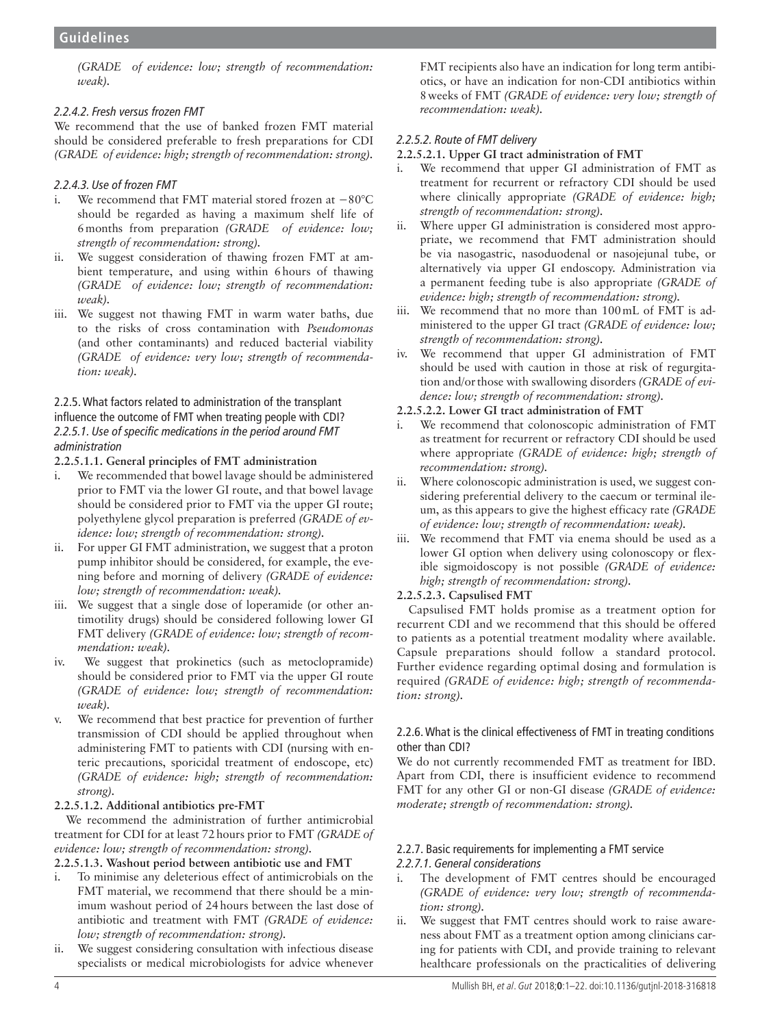*(GRADE of evidence: low; strength of recommendation: weak).*

# *2.2.4.2. Fresh versus frozen FMT*

We recommend that the use of banked frozen FMT material should be considered preferable to fresh preparations for CDI *(GRADE of evidence: high; strength of recommendation: strong).*

# *2.2.4.3. Use of frozen FMT*

- i. We recommend that FMT material stored frozen at −80°C should be regarded as having a maximum shelf life of 6months from preparation *(GRADE of evidence: low; strength of recommendation: strong).*
- ii. We suggest consideration of thawing frozen FMT at ambient temperature, and using within 6hours of thawing *(GRADE of evidence: low; strength of recommendation: weak).*
- iii. We suggest not thawing FMT in warm water baths, due to the risks of cross contamination with *Pseudomonas* (and other contaminants) and reduced bacterial viability *(GRADE of evidence: very low; strength of recommendation: weak).*

# 2.2.5. What factors related to administration of the transplant influence the outcome of FMT when treating people with CDI? *2.2.5.1. Use of specific medications in the period around FMT administration*

# **2.2.5.1.1. General principles of FMT administration**

- i. We recommended that bowel lavage should be administered prior to FMT via the lower GI route, and that bowel lavage should be considered prior to FMT via the upper GI route; polyethylene glycol preparation is preferred *(GRADE of evidence: low; strength of recommendation: strong).*
- ii. For upper GI FMT administration, we suggest that a proton pump inhibitor should be considered, for example, the evening before and morning of delivery *(GRADE of evidence: low; strength of recommendation: weak).*
- iii. We suggest that a single dose of loperamide (or other antimotility drugs) should be considered following lower GI FMT delivery *(GRADE of evidence: low; strength of recommendation: weak).*
- iv. We suggest that prokinetics (such as metoclopramide) should be considered prior to FMT via the upper GI route *(GRADE of evidence: low; strength of recommendation: weak).*
- v. We recommend that best practice for prevention of further transmission of CDI should be applied throughout when administering FMT to patients with CDI (nursing with enteric precautions, sporicidal treatment of endoscope, etc) *(GRADE of evidence: high; strength of recommendation: strong).*

### **2.2.5.1.2. Additional antibiotics pre-FMT**

We recommend the administration of further antimicrobial treatment for CDI for at least 72hours prior to FMT *(GRADE of evidence: low; strength of recommendation: strong).*

### **2.2.5.1.3. Washout period between antibiotic use and FMT**

- i. To minimise any deleterious effect of antimicrobials on the FMT material, we recommend that there should be a minimum washout period of 24hours between the last dose of antibiotic and treatment with FMT *(GRADE of evidence: low; strength of recommendation: strong).*
- ii. We suggest considering consultation with infectious disease specialists or medical microbiologists for advice whenever

FMT recipients also have an indication for long term antibiotics, or have an indication for non-CDI antibiotics within 8weeks of FMT *(GRADE of evidence: very low; strength of recommendation: weak).*

# *2.2.5.2. Route of FMT delivery*

### **2.2.5.2.1. Upper GI tract administration of FMT**

- i. We recommend that upper GI administration of FMT as treatment for recurrent or refractory CDI should be used where clinically appropriate *(GRADE of evidence: high; strength of recommendation: strong).*
- ii. Where upper GI administration is considered most appropriate, we recommend that FMT administration should be via nasogastric, nasoduodenal or nasojejunal tube, or alternatively via upper GI endoscopy. Administration via a permanent feeding tube is also appropriate *(GRADE of evidence: high; strength of recommendation: strong).*
- iii. We recommend that no more than 100mL of FMT is administered to the upper GI tract *(GRADE of evidence: low; strength of recommendation: strong).*
- iv. We recommend that upper GI administration of FMT should be used with caution in those at risk of regurgitation and/orthose with swallowing disorders *(GRADE of evidence: low; strength of recommendation: strong).*

# **2.2.5.2.2. Lower GI tract administration of FMT**

- i. We recommend that colonoscopic administration of FMT as treatment for recurrent or refractory CDI should be used where appropriate *(GRADE of evidence: high; strength of recommendation: strong).*
- ii. Where colonoscopic administration is used, we suggest considering preferential delivery to the caecum or terminal ileum, as this appears to give the highest efficacy rate *(GRADE of evidence: low; strength of recommendation: weak).*
- iii. We recommend that FMT via enema should be used as a lower GI option when delivery using colonoscopy or flexible sigmoidoscopy is not possible *(GRADE of evidence: high; strength of recommendation: strong).*

# **2.2.5.2.3. Capsulised FMT**

Capsulised FMT holds promise as a treatment option for recurrent CDI and we recommend that this should be offered to patients as a potential treatment modality where available. Capsule preparations should follow a standard protocol. Further evidence regarding optimal dosing and formulation is required *(GRADE of evidence: high; strength of recommendation: strong).*

# 2.2.6. What is the clinical effectiveness of FMT in treating conditions other than CDI?

We do not currently recommended FMT as treatment for IBD. Apart from CDI, there is insufficient evidence to recommend FMT for any other GI or non-GI disease *(GRADE of evidence: moderate; strength of recommendation: strong).*

### 2.2.7. Basic requirements for implementing a FMT service *2.2.7.1. General considerations*

- i. The development of FMT centres should be encouraged *(GRADE of evidence: very low; strength of recommendation: strong).*
- ii. We suggest that FMT centres should work to raise awareness about FMT as a treatment option among clinicians caring for patients with CDI, and provide training to relevant healthcare professionals on the practicalities of delivering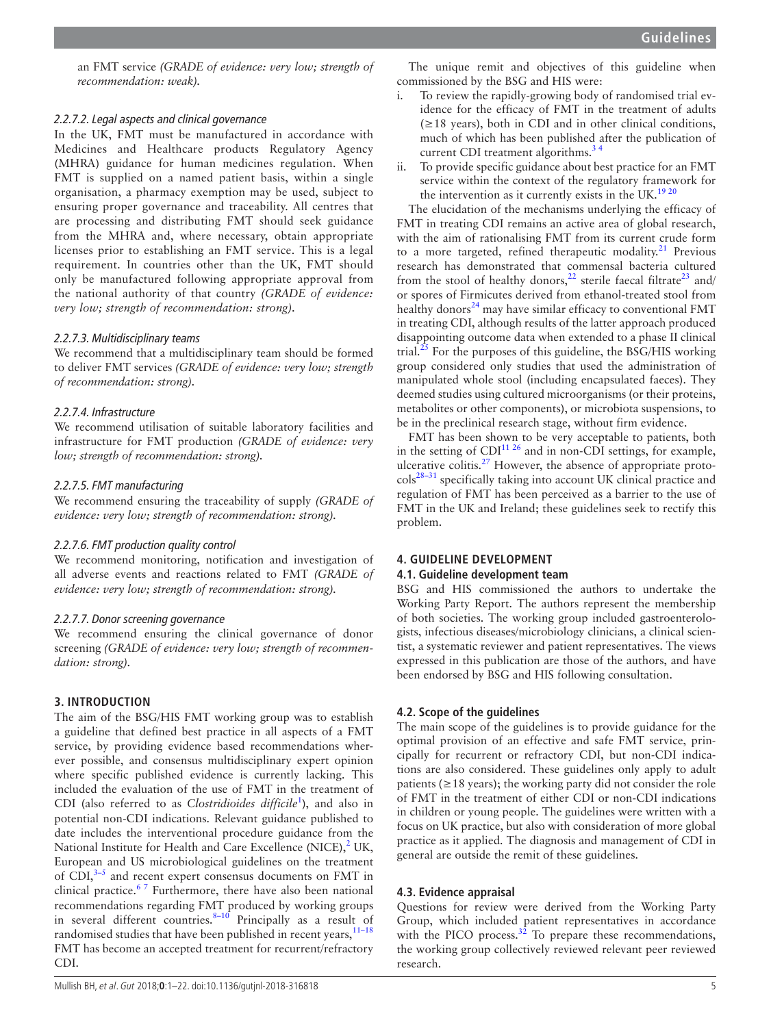an FMT service *(GRADE of evidence: very low; strength of recommendation: weak).*

### *2.2.7.2. Legal aspects and clinical governance*

In the UK, FMT must be manufactured in accordance with Medicines and Healthcare products Regulatory Agency (MHRA) guidance for human medicines regulation. When FMT is supplied on a named patient basis, within a single organisation, a pharmacy exemption may be used, subject to ensuring proper governance and traceability. All centres that are processing and distributing FMT should seek guidance from the MHRA and, where necessary, obtain appropriate licenses prior to establishing an FMT service. This is a legal requirement. In countries other than the UK, FMT should only be manufactured following appropriate approval from the national authority of that country *(GRADE of evidence: very low; strength of recommendation: strong).*

#### *2.2.7.3. Multidisciplinary teams*

We recommend that a multidisciplinary team should be formed to deliver FMT services *(GRADE of evidence: very low; strength of recommendation: strong).*

#### *2.2.7.4. Infrastructure*

We recommend utilisation of suitable laboratory facilities and infrastructure for FMT production *(GRADE of evidence: very low; strength of recommendation: strong).*

#### *2.2.7.5. FMT manufacturing*

We recommend ensuring the traceability of supply *(GRADE of evidence: very low; strength of recommendation: strong).*

#### *2.2.7.6. FMT production quality control*

We recommend monitoring, notification and investigation of all adverse events and reactions related to FMT *(GRADE of evidence: very low; strength of recommendation: strong).*

#### *2.2.7.7. Donor screening governance*

We recommend ensuring the clinical governance of donor screening *(GRADE of evidence: very low; strength of recommendation: strong).*

### **3. Introduction**

The aim of the BSG/HIS FMT working group was to establish a guideline that defined best practice in all aspects of a FMT service, by providing evidence based recommendations wherever possible, and consensus multidisciplinary expert opinion where specific published evidence is currently lacking. This included the evaluation of the use of FMT in the treatment of CDI (also referred to as *Clostridioides difficile<sup>[1](#page-19-0)</sup>*), and also in potential non-CDI indications. Relevant guidance published to date includes the interventional procedure guidance from the National Institute for Health and Care Excellence (NICE), $^2$  $^2$  UK, European and US microbiological guidelines on the treatment of CDI,<sup>3-5</sup> and recent expert consensus documents on FMT in clinical practice.<sup>67</sup> Furthermore, there have also been national recommendations regarding FMT produced by working groups in several different countries. $8-10$  Principally as a result of randomised studies that have been published in recent years,  $11-18$ FMT has become an accepted treatment for recurrent/refractory CDI.

The unique remit and objectives of this guideline when commissioned by the BSG and HIS were:

- i. To review the rapidly-growing body of randomised trial evidence for the efficacy of FMT in the treatment of adults (≥18 years), both in CDI and in other clinical conditions, much of which has been published after the publication of current CDI treatment algorithms.<sup>34</sup>
- ii. To provide specific guidance about best practice for an FMT service within the context of the regulatory framework for the intervention as it currently exists in the UK.<sup>19 20</sup>

The elucidation of the mechanisms underlying the efficacy of FMT in treating CDI remains an active area of global research, with the aim of rationalising FMT from its current crude form to a more targeted, refined therapeutic modality.<sup>21</sup> Previous research has demonstrated that commensal bacteria cultured from the stool of healthy donors, $2^2$  sterile faecal filtrate<sup>[23](#page-19-9)</sup> and/ or spores of Firmicutes derived from ethanol-treated stool from healthy donors<sup>24</sup> may have similar efficacy to conventional FMT in treating CDI, although results of the latter approach produced disappointing outcome data when extended to a phase II clinical trial.<sup>[25](#page-19-11)</sup> For the purposes of this guideline, the BSG/HIS working group considered only studies that used the administration of manipulated whole stool (including encapsulated faeces). They deemed studies using cultured microorganisms (or their proteins, metabolites or other components), or microbiota suspensions, to be in the preclinical research stage, without firm evidence.

FMT has been shown to be very acceptable to patients, both in the setting of  $CDI<sup>11 26</sup>$  $CDI<sup>11 26</sup>$  $CDI<sup>11 26</sup>$  and in non-CDI settings, for example, ulcerative colitis.<sup>27</sup> However, the absence of appropriate protocols[28–31](#page-19-13) specifically taking into account UK clinical practice and regulation of FMT has been perceived as a barrier to the use of FMT in the UK and Ireland; these guidelines seek to rectify this problem.

# **4. Guideline development**

# **4.1. Guideline development team**

BSG and HIS commissioned the authors to undertake the Working Party Report. The authors represent the membership of both societies. The working group included gastroenterologists, infectious diseases/microbiology clinicians, a clinical scientist, a systematic reviewer and patient representatives. The views expressed in this publication are those of the authors, and have been endorsed by BSG and HIS following consultation.

### **4.2. Scope of the guidelines**

The main scope of the guidelines is to provide guidance for the optimal provision of an effective and safe FMT service, principally for recurrent or refractory CDI, but non-CDI indications are also considered. These guidelines only apply to adult patients ( $\geq$ 18 years); the working party did not consider the role of FMT in the treatment of either CDI or non-CDI indications in children or young people. The guidelines were written with a focus on UK practice, but also with consideration of more global practice as it applied. The diagnosis and management of CDI in general are outside the remit of these guidelines.

#### **4.3. Evidence appraisal**

Questions for review were derived from the Working Party Group, which included patient representatives in accordance with the PICO process. $32$  To prepare these recommendations, the working group collectively reviewed relevant peer reviewed research.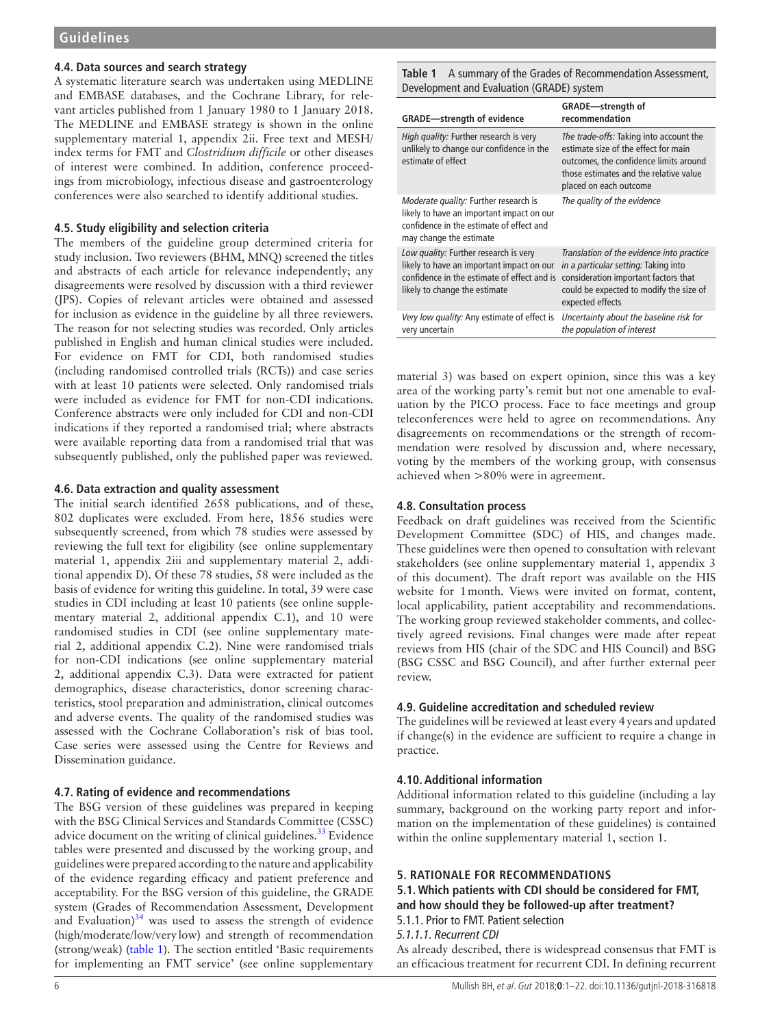# **4.4. Data sources and search strategy**

A systematic literature search was undertaken using MEDLINE and EMBASE databases, and the Cochrane Library, for relevant articles published from 1 January 1980 to 1 January 2018. The MEDLINE and EMBASE strategy is shown in the online [supplementary material 1, appendix 2ii](https://dx.doi.org/10.1136/gutjnl-2018-316818). Free text and MESH/ index terms for FMT and *Clostridium difficile* or other diseases of interest were combined. In addition, conference proceedings from microbiology, infectious disease and gastroenterology conferences were also searched to identify additional studies.

# **4.5. Study eligibility and selection criteria**

The members of the guideline group determined criteria for study inclusion. Two reviewers (BHM, MNQ) screened the titles and abstracts of each article for relevance independently; any disagreements were resolved by discussion with a third reviewer (JPS). Copies of relevant articles were obtained and assessed for inclusion as evidence in the guideline by all three reviewers. The reason for not selecting studies was recorded. Only articles published in English and human clinical studies were included. For evidence on FMT for CDI, both randomised studies (including randomised controlled trials (RCTs)) and case series with at least 10 patients were selected. Only randomised trials were included as evidence for FMT for non-CDI indications. Conference abstracts were only included for CDI and non-CDI indications if they reported a randomised trial; where abstracts were available reporting data from a randomised trial that was subsequently published, only the published paper was reviewed.

# **4.6. Data extraction and quality assessment**

The initial search identified 2658 publications, and of these, 802 duplicates were excluded. From here, 1856 studies were subsequently screened, from which 78 studies were assessed by reviewing the full text for eligibility (see online [supplementary](https://dx.doi.org/10.1136/gutjnl-2018-316818)  [material 1, appendix 2iii](https://dx.doi.org/10.1136/gutjnl-2018-316818) and [supplementary material 2, addi](https://dx.doi.org/10.1136/gutjnl-2018-316818)[tional appendix D\)](https://dx.doi.org/10.1136/gutjnl-2018-316818). Of these 78 studies, 58 were included as the basis of evidence for writing this guideline. In total, 39 were case studies in CDI including at least 10 patients (see online [supple](https://dx.doi.org/10.1136/gutjnl-2018-316818)[mentary material 2, additional appendix C.1\),](https://dx.doi.org/10.1136/gutjnl-2018-316818) and 10 were randomised studies in CDI (see online [supplementary mate](https://dx.doi.org/10.1136/gutjnl-2018-316818)[rial 2, additional appendix C.2](https://dx.doi.org/10.1136/gutjnl-2018-316818)). Nine were randomised trials for non-CDI indications (see online [supplementary material](https://dx.doi.org/10.1136/gutjnl-2018-316818)  [2, additional appendix C.3\)](https://dx.doi.org/10.1136/gutjnl-2018-316818). Data were extracted for patient demographics, disease characteristics, donor screening characteristics, stool preparation and administration, clinical outcomes and adverse events. The quality of the randomised studies was assessed with the Cochrane Collaboration's risk of bias tool. Case series were assessed using the Centre for Reviews and Dissemination guidance.

# **4.7. Rating of evidence and recommendations**

The BSG version of these guidelines was prepared in keeping with the BSG Clinical Services and Standards Committee (CSSC) advice document on the writing of clinical guidelines.<sup>33</sup> Evidence tables were presented and discussed by the working group, and guidelines were prepared according to the nature and applicability of the evidence regarding efficacy and patient preference and acceptability. For the BSG version of this guideline, the GRADE system (Grades of Recommendation Assessment, Development and Evaluation) $34$  was used to assess the strength of evidence (high/moderate/low/very low) and strength of recommendation (strong/weak) [\(table](#page-5-0) 1). The section entitled 'Basic requirements for implementing an FMT service' (see online [supplementary](https://dx.doi.org/10.1136/gutjnl-2018-316818) 

<span id="page-5-0"></span>**Table 1** A summary of the Grades of Recommendation Assessment, Development and Evaluation (GRADE) system

| <b>GRADE-strength of evidence</b>                                                                                                                                  | <b>GRADE-strength of</b><br>recommendation                                                                                                                                                           |
|--------------------------------------------------------------------------------------------------------------------------------------------------------------------|------------------------------------------------------------------------------------------------------------------------------------------------------------------------------------------------------|
| High quality: Further research is very<br>unlikely to change our confidence in the<br>estimate of effect                                                           | <i>The trade-offs:</i> Taking into account the<br>estimate size of the effect for main<br>outcomes, the confidence limits around<br>those estimates and the relative value<br>placed on each outcome |
| Moderate quality: Further research is<br>likely to have an important impact on our<br>confidence in the estimate of effect and<br>may change the estimate          | The quality of the evidence                                                                                                                                                                          |
| Low quality: Further research is very<br>likely to have an important impact on our<br>confidence in the estimate of effect and is<br>likely to change the estimate | Translation of the evidence into practice<br>in a particular setting: Taking into<br>consideration important factors that<br>could be expected to modify the size of<br>expected effects             |
| Very low quality: Any estimate of effect is<br>very uncertain                                                                                                      | Uncertainty about the baseline risk for<br>the population of interest                                                                                                                                |

[material 3\)](https://dx.doi.org/10.1136/gutjnl-2018-316818) was based on expert opinion, since this was a key area of the working party's remit but not one amenable to evaluation by the PICO process. Face to face meetings and group teleconferences were held to agree on recommendations. Any disagreements on recommendations or the strength of recommendation were resolved by discussion and, where necessary, voting by the members of the working group, with consensus achieved when >80% were in agreement.

# **4.8. Consultation process**

Feedback on draft guidelines was received from the Scientific Development Committee (SDC) of HIS, and changes made. These guidelines were then opened to consultation with relevant stakeholders (see online [supplementary material 1, appendix 3](https://dx.doi.org/10.1136/gutjnl-2018-316818) of this document). The draft report was available on the HIS website for 1month. Views were invited on format, content, local applicability, patient acceptability and recommendations. The working group reviewed stakeholder comments, and collectively agreed revisions. Final changes were made after repeat reviews from HIS (chair of the SDC and HIS Council) and BSG (BSG CSSC and BSG Council), and after further external peer review.

# **4.9. Guideline accreditation and scheduled review**

The guidelines will be reviewed at least every 4years and updated if change(s) in the evidence are sufficient to require a change in practice.

# **4.10. Additional information**

Additional information related to this guideline (including a lay summary, background on the working party report and information on the implementation of these guidelines) is contained within the online [supplementary material 1, section 1.](https://dx.doi.org/10.1136/gutjnl-2018-316818)

# **5. Rationale for recommendations**

**5.1. Which patients with CDI should be considered for FMT, and how should they be followed-up after treatment?**

5.1.1. Prior to FMT. Patient selection

*5.1.1.1. Recurrent CDI* 

As already described, there is widespread consensus that FMT is an efficacious treatment for recurrent CDI. In defining recurrent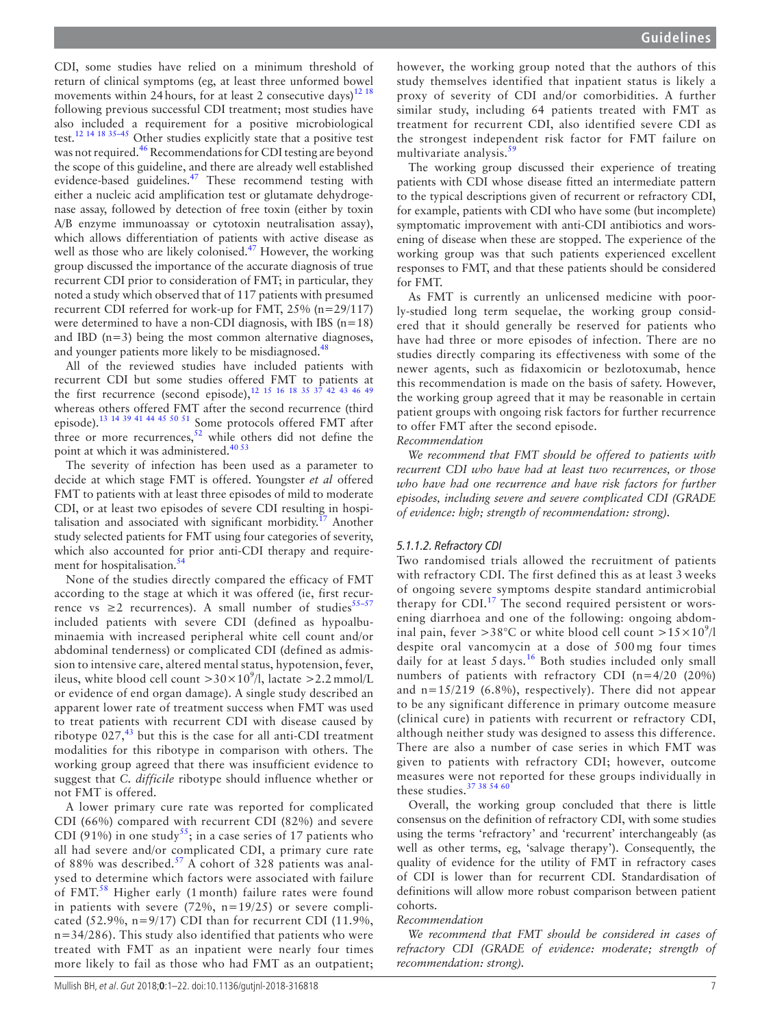CDI, some studies have relied on a minimum threshold of return of clinical symptoms (eg, at least three unformed bowel movements within 24 hours, for at least 2 consecutive days)<sup>[12 18](#page-19-17)</sup> following previous successful CDI treatment; most studies have also included a requirement for a positive microbiological test.[12 14 18 35–45](#page-19-17) Other studies explicitly state that a positive test was not required.<sup>[46](#page-20-0)</sup> Recommendations for CDI testing are beyond the scope of this guideline, and there are already well established evidence-based guidelines.<sup>47</sup> These recommend testing with either a nucleic acid amplification test or glutamate dehydrogenase assay, followed by detection of free toxin (either by toxin A/B enzyme immunoassay or cytotoxin neutralisation assay), which allows differentiation of patients with active disease as well as those who are likely colonised.<sup>[47](#page-20-1)</sup> However, the working group discussed the importance of the accurate diagnosis of true recurrent CDI prior to consideration of FMT; in particular, they noted a study which observed that of 117 patients with presumed recurrent CDI referred for work-up for FMT, 25% (n=29/117) were determined to have a non-CDI diagnosis, with IBS (n=18) and IBD  $(n=3)$  being the most common alternative diagnoses, and younger patients more likely to be misdiagnosed.<sup>[48](#page-20-2)</sup>

All of the reviewed studies have included patients with recurrent CDI but some studies offered FMT to patients at the first recurrence (second episode),  $12^{15}$  15 16 18 35 37 42 43 46 49 whereas others offered FMT after the second recurrence (third episode).[13 14 39 41 44 45 50 51](#page-19-18) Some protocols offered FMT after three or more recurrences,<sup>[52](#page-20-3)</sup> while others did not define the point at which it was administered.<sup>[40 53](#page-19-19)</sup>

The severity of infection has been used as a parameter to decide at which stage FMT is offered. Youngster *et al* offered FMT to patients with at least three episodes of mild to moderate CDI, or at least two episodes of severe CDI resulting in hospitalisation and associated with significant morbidity.<sup>17</sup> Another study selected patients for FMT using four categories of severity, which also accounted for prior anti-CDI therapy and require-ment for hospitalisation.<sup>[54](#page-20-4)</sup>

None of the studies directly compared the efficacy of FMT according to the stage at which it was offered (ie, first recurrence vs  $\geq$ 2 recurrences). A small number of studies<sup>55-57</sup> included patients with severe CDI (defined as hypoalbuminaemia with increased peripheral white cell count and/or abdominal tenderness) or complicated CDI (defined as admission to intensive care, altered mental status, hypotension, fever, ileus, white blood cell count  $>30\times10^9$ /l, lactate  $>2.2$  mmol/L or evidence of end organ damage). A single study described an apparent lower rate of treatment success when FMT was used to treat patients with recurrent CDI with disease caused by ribotype  $027<sup>43</sup>$  $027<sup>43</sup>$  $027<sup>43</sup>$  but this is the case for all anti-CDI treatment modalities for this ribotype in comparison with others. The working group agreed that there was insufficient evidence to suggest that *C. difficile* ribotype should influence whether or not FMT is offered.

A lower primary cure rate was reported for complicated CDI (66%) compared with recurrent CDI (82%) and severe CDI (91%) in one study<sup>[55](#page-20-5)</sup>; in a case series of 17 patients who all had severe and/or complicated CDI, a primary cure rate of 88% was described.[57](#page-20-7) A cohort of 328 patients was analysed to determine which factors were associated with failure of FMT.<sup>[58](#page-20-8)</sup> Higher early (1 month) failure rates were found in patients with severe  $(72\%, n=19/25)$  or severe complicated  $(52.9\% \text{ n} = 9/17)$  CDI than for recurrent CDI  $(11.9\% \text{ n} = 1.9\%)$ n=34/286). This study also identified that patients who were treated with FMT as an inpatient were nearly four times more likely to fail as those who had FMT as an outpatient;

however, the working group noted that the authors of this study themselves identified that inpatient status is likely a proxy of severity of CDI and/or comorbidities. A further similar study, including 64 patients treated with FMT as treatment for recurrent CDI, also identified severe CDI as the strongest independent risk factor for FMT failure on multivariate analysis.<sup>[59](#page-20-9)</sup>

The working group discussed their experience of treating patients with CDI whose disease fitted an intermediate pattern to the typical descriptions given of recurrent or refractory CDI, for example, patients with CDI who have some (but incomplete) symptomatic improvement with anti-CDI antibiotics and worsening of disease when these are stopped. The experience of the working group was that such patients experienced excellent responses to FMT, and that these patients should be considered for FMT.

As FMT is currently an unlicensed medicine with poorly-studied long term sequelae, the working group considered that it should generally be reserved for patients who have had three or more episodes of infection. There are no studies directly comparing its effectiveness with some of the newer agents, such as fidaxomicin or bezlotoxumab, hence this recommendation is made on the basis of safety. However, the working group agreed that it may be reasonable in certain patient groups with ongoing risk factors for further recurrence to offer FMT after the second episode.

### *Recommendation*

*We recommend that FMT should be offered to patients with recurrent CDI who have had at least two recurrences, or those who have had one recurrence and have risk factors for further episodes, including severe and severe complicated CDI (GRADE of evidence: high; strength of recommendation: strong).*

### *5.1.1.2. Refractory CDI*

Two randomised trials allowed the recruitment of patients with refractory CDI. The first defined this as at least 3 weeks of ongoing severe symptoms despite standard antimicrobial therapy for CDI. $^{17}$  The second required persistent or worsening diarrhoea and one of the following: ongoing abdominal pain, fever >38°C or white blood cell count >15 $\times$ 10<sup>9</sup>/l despite oral vancomycin at a dose of 500 mg four times daily for at least 5 days.<sup>[16](#page-19-21)</sup> Both studies included only small numbers of patients with refractory CDI (n*=*4/20 (20%) and n*=*15/219 (6.8%), respectively). There did not appear to be any significant difference in primary outcome measure (clinical cure) in patients with recurrent or refractory CDI, although neither study was designed to assess this difference. There are also a number of case series in which FMT was given to patients with refractory CDI; however, outcome measures were not reported for these groups individually in these studies. $37385460$ 

Overall, the working group concluded that there is little consensus on the definition of refractory CDI, with some studies using the terms 'refractory' and 'recurrent' interchangeably (as well as other terms, eg, 'salvage therapy'). Consequently, the quality of evidence for the utility of FMT in refractory cases of CDI is lower than for recurrent CDI. Standardisation of definitions will allow more robust comparison between patient cohorts.

#### *Recommendation*

*We recommend that FMT should be considered in cases of refractory CDI (GRADE of evidence: moderate; strength of recommendation: strong).*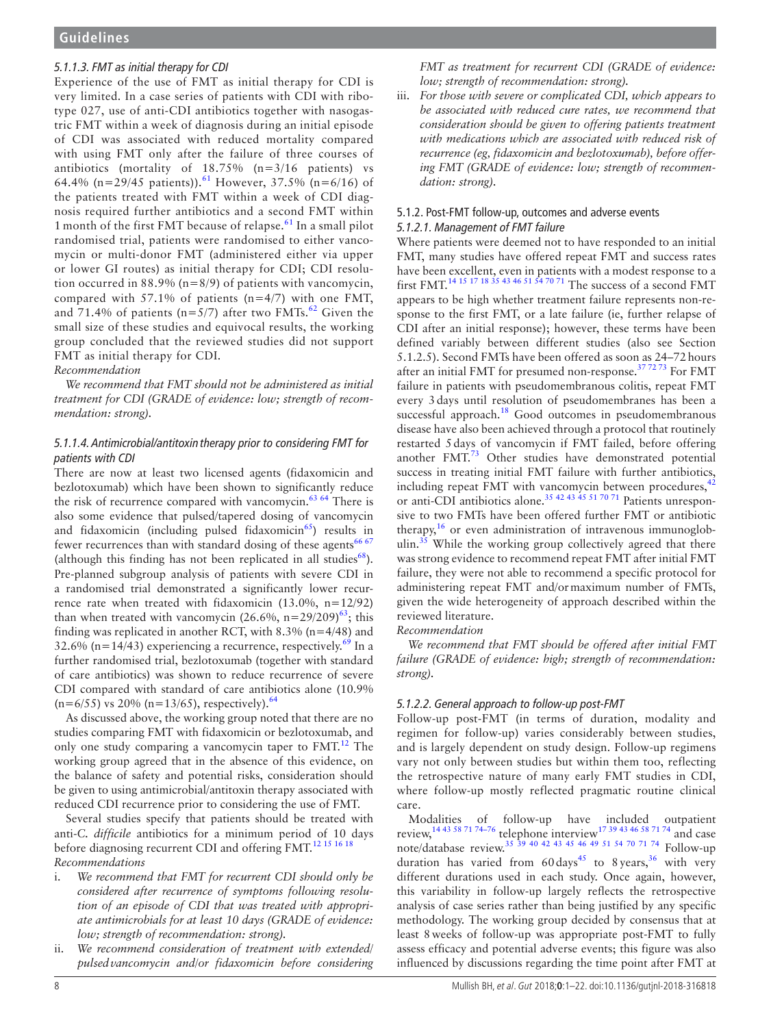### *5.1.1.3. FMT as initial therapy for CDI*

Experience of the use of FMT as initial therapy for CDI is very limited. In a case series of patients with CDI with ribotype 027, use of anti-CDI antibiotics together with nasogastric FMT within a week of diagnosis during an initial episode of CDI was associated with reduced mortality compared with using FMT only after the failure of three courses of antibiotics (mortality of 18.75% (n=3/16 patients) vs 64.4% (n=29/45 patients)).<sup>[61](#page-20-10)</sup> However, 37.5% (n=6/16) of the patients treated with FMT within a week of CDI diagnosis required further antibiotics and a second FMT within 1 month of the first FMT because of relapse. $61$  In a small pilot randomised trial, patients were randomised to either vancomycin or multi-donor FMT (administered either via upper or lower GI routes) as initial therapy for CDI; CDI resolution occurred in 88.9% (n=8/9) of patients with vancomycin, compared with  $57.1\%$  of patients (n=4/7) with one FMT, and 71.4% of patients ( $n=5/7$ ) after two FMTs.<sup>[62](#page-20-11)</sup> Given the small size of these studies and equivocal results, the working group concluded that the reviewed studies did not support FMT as initial therapy for CDI.

# *Recommendation*

*We recommend that FMT should not be administered as initial treatment for CDI (GRADE of evidence: low; strength of recommendation: strong).*

### *5.1.1.4. Antimicrobial/antitoxin therapy prior to considering FMT for patients with CDI*

There are now at least two licensed agents (fidaxomicin and bezlotoxumab) which have been shown to significantly reduce the risk of recurrence compared with vancomycin.<sup>[63 64](#page-20-12)</sup> There is also some evidence that pulsed/tapered dosing of vancomycin and fidaxomicin (including pulsed fidaxomicin $<sup>65</sup>$  $<sup>65</sup>$  $<sup>65</sup>$ ) results in</sup> fewer recurrences than with standard dosing of these agents<sup>[66 67](#page-20-14)</sup> (although this finding has not been replicated in all studies $68$ ). Pre-planned subgroup analysis of patients with severe CDI in a randomised trial demonstrated a significantly lower recurrence rate when treated with fidaxomicin  $(13.0\%, n=12/92)$ than when treated with vancomycin (26.6%,  $n=29/209$ )<sup>[63](#page-20-12)</sup>; this finding was replicated in another RCT, with  $8.3\%$  (n=4/48) and 32.6% (n=14/43) experiencing a recurrence, respectively.<sup>[69](#page-20-16)</sup> In a further randomised trial, bezlotoxumab (together with standard of care antibiotics) was shown to reduce recurrence of severe CDI compared with standard of care antibiotics alone (10.9%  $(n=6/55)$  vs 20%  $(n=13/65)$ , respectively).<sup>[64](#page-20-17)</sup>

As discussed above, the working group noted that there are no studies comparing FMT with fidaxomicin or bezlotoxumab, and only one study comparing a vancomycin taper to  $FMT<sup>12</sup>$ . The working group agreed that in the absence of this evidence, on the balance of safety and potential risks, consideration should be given to using antimicrobial/antitoxin therapy associated with reduced CDI recurrence prior to considering the use of FMT.

Several studies specify that patients should be treated with anti-*C. difficile* antibiotics for a minimum period of 10 days before diagnosing recurrent CDI and offering FMT.<sup>[12 15 16 18](#page-19-17)</sup> *Recommendations*

- i. *We recommend that FMT for recurrent CDI should only be considered after recurrence of symptoms following resolution of an episode of CDI that was treated with appropriate antimicrobials for at least 10 days (GRADE of evidence: low; strength of recommendation: strong).*
- ii. *We recommend consideration of treatment with extended/ pulsedvancomycin and/or fidaxomicin before considering*

*FMT as treatment for recurrent CDI (GRADE of evidence: low; strength of recommendation: strong).*

iii. *For those with severe or complicated CDI, which appears to be associated with reduced cure rates, we recommend that consideration should be given to offering patients treatment with medications which are associated with reduced risk of recurrence (eg, fidaxomicin and bezlotoxumab), before offering FMT (GRADE of evidence: low; strength of recommendation: strong).*

#### 5.1.2. Post-FMT follow-up, outcomes and adverse events *5.1.2.1. Management of FMT failure*

Where patients were deemed not to have responded to an initial FMT, many studies have offered repeat FMT and success rates have been excellent, even in patients with a modest response to a first FMT.<sup>[14 15 17 18 35 43 46 51 54 70 71](#page-19-23)</sup> The success of a second FMT appears to be high whether treatment failure represents non-response to the first FMT, or a late failure (ie, further relapse of CDI after an initial response); however, these terms have been defined variably between different studies (also see Section 5.1.2.5). Second FMTs have been offered as soon as 24–72hours after an initial FMT for presumed non-response.<sup>377273</sup> For FMT failure in patients with pseudomembranous colitis, repeat FMT every 3days until resolution of pseudomembranes has been a successful approach.<sup>[18](#page-19-24)</sup> Good outcomes in pseudomembranous disease have also been achieved through a protocol that routinely restarted 5days of vancomycin if FMT failed, before offering another FMT.<sup>[73](#page-20-18)</sup> Other studies have demonstrated potential success in treating initial FMT failure with further antibiotics, including repeat FMT with vancomycin between procedures,<sup>[42](#page-19-25)</sup> or anti-CDI antibiotics alone.<sup>[35 42 43 45 51 70 71](#page-19-26)</sup> Patients unresponsive to two FMTs have been offered further FMT or antibiotic therapy, $16$  or even administration of intravenous immunoglob-ulin.<sup>[35](#page-19-26)</sup> While the working group collectively agreed that there was strong evidence to recommend repeat FMT after initial FMT failure, they were not able to recommend a specific protocol for administering repeat FMT and/ormaximum number of FMTs, given the wide heterogeneity of approach described within the reviewed literature.

#### *Recommendation*

*We recommend that FMT should be offered after initial FMT failure (GRADE of evidence: high; strength of recommendation: strong).*

### *5.1.2.2. General approach to follow-up post-FMT*

Follow-up post-FMT (in terms of duration, modality and regimen for follow-up) varies considerably between studies, and is largely dependent on study design. Follow-up regimens vary not only between studies but within them too, reflecting the retrospective nature of many early FMT studies in CDI, where follow-up mostly reflected pragmatic routine clinical care.

Modalities of follow-up have included outpatient review,<sup>[14 43 58 71 74–76](#page-19-23)</sup> telephone interview<sup>17 39</sup> <sup>43 46 58 71 74</sup> and case note/database review.<sup>35 39</sup> 40 42 43 45 46 49 51 54 70 71 74 Follow-up duration has varied from  $60 \text{ days}^{45}$  $60 \text{ days}^{45}$  $60 \text{ days}^{45}$  to 8years,<sup>[36](#page-19-27)</sup> with very different durations used in each study. Once again, however, this variability in follow-up largely reflects the retrospective analysis of case series rather than being justified by any specific methodology. The working group decided by consensus that at least 8weeks of follow-up was appropriate post-FMT to fully assess efficacy and potential adverse events; this figure was also influenced by discussions regarding the time point after FMT at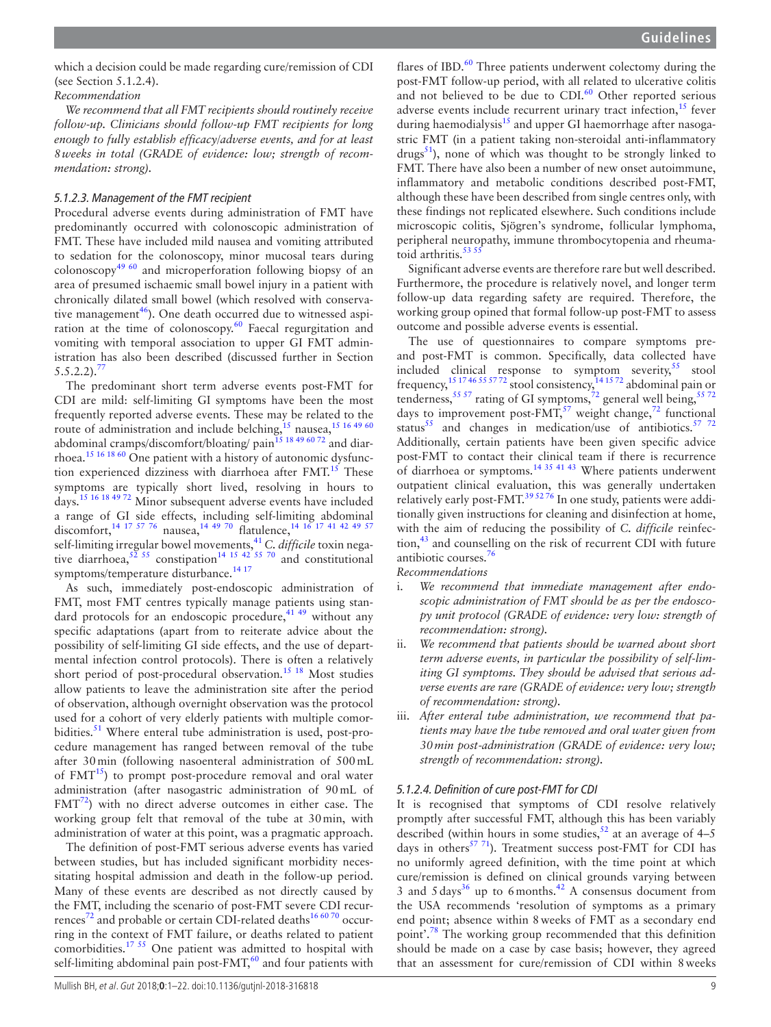which a decision could be made regarding cure/remission of CDI (see Section 5.1.2.4).

*Recommendation*

*We recommend that all FMT recipients should routinely receive follow-up. Clinicians should follow-up FMT recipients for long enough to fully establish efficacy/adverse events, and for at least 8weeks in total (GRADE of evidence: low; strength of recommendation: strong).*

### *5.1.2.3. Management of the FMT recipient*

Procedural adverse events during administration of FMT have predominantly occurred with colonoscopic administration of FMT. These have included mild nausea and vomiting attributed to sedation for the colonoscopy, minor mucosal tears during colonoscopy<sup>[49 60](#page-20-20)</sup> and microperforation following biopsy of an area of presumed ischaemic small bowel injury in a patient with chronically dilated small bowel (which resolved with conserva-tive management<sup>[46](#page-20-0)</sup>). One death occurred due to witnessed aspi-ration at the time of colonoscopy.<sup>[60](#page-20-21)</sup> Faecal regurgitation and vomiting with temporal association to upper GI FMT administration has also been described (discussed further in Section  $5.5.2.2$ ).<sup>[77](#page-20-22)</sup>

The predominant short term adverse events post-FMT for CDI are mild: self-limiting GI symptoms have been the most frequently reported adverse events. These may be related to the route of administration and include belching,  $^{15}$  $^{15}$  $^{15}$  nausea,  $^{15}$  16 49 60 abdominal cramps/discomfort/bloating/ pain<sup>[15 18 49 60 72](#page-19-28)</sup> and diarrhoea.[15 16 18 60](#page-19-28) One patient with a history of autonomic dysfunction experienced dizziness with diarrhoea after  $FMT$ <sup>[15](#page-19-28)</sup>. These symptoms are typically short lived, resolving in hours to days.[15 16 18 49 72](#page-19-28) Minor subsequent adverse events have included a range of GI side effects, including self-limiting abdominal discomfort,<sup>[14 17 57 76](#page-19-23)</sup> nausea,<sup>14 49 70</sup> flatulence,<sup>[14 16 17 41 42 49 57](#page-19-23)</sup> self-limiting irregular bowel movements,[41](#page-19-29) *C. difficile* toxin negative diarrhoea,  $52 \times 55$  constipation<sup>[14 15 42 55 70](#page-19-23)</sup> and constitutional symptoms/temperature disturbance.<sup>[14 17](#page-19-23)</sup>

As such, immediately post-endoscopic administration of FMT, most FMT centres typically manage patients using standard protocols for an endoscopic procedure,  $41\frac{49}{9}$  without any specific adaptations (apart from to reiterate advice about the possibility of self-limiting GI side effects, and the use of departmental infection control protocols). There is often a relatively short period of post-procedural observation.<sup>[15 18](#page-19-28)</sup> Most studies allow patients to leave the administration site after the period of observation, although overnight observation was the protocol used for a cohort of very elderly patients with multiple comorbidities. $51$  Where enteral tube administration is used, post-procedure management has ranged between removal of the tube after 30min (following nasoenteral administration of 500mL of  $FMT^{15}$  $FMT^{15}$  $FMT^{15}$ ) to prompt post-procedure removal and oral water administration (after nasogastric administration of 90mL of  $FMT<sup>72</sup>$ ) with no direct adverse outcomes in either case. The working group felt that removal of the tube at 30min, with administration of water at this point, was a pragmatic approach.

The definition of post-FMT serious adverse events has varied between studies, but has included significant morbidity necessitating hospital admission and death in the follow-up period. Many of these events are described as not directly caused by the FMT, including the scenario of post-FMT severe CDI recurrences<sup>72</sup> and probable or certain CDI-related deaths<sup>16 6070</sup> occurring in the context of FMT failure, or deaths related to patient comorbidities.[17 55](#page-19-20) One patient was admitted to hospital with self-limiting abdominal pain post-FMT, $60$  and four patients with

flares of IBD. $60$  Three patients underwent colectomy during the post-FMT follow-up period, with all related to ulcerative colitis and not believed to be due to CDI.<sup>[60](#page-20-21)</sup> Other reported serious adverse events include recurrent urinary tract infection,<sup>[15](#page-19-28)</sup> fever during haemodialysis<sup>[15](#page-19-28)</sup> and upper GI haemorrhage after nasogastric FMT (in a patient taking non-steroidal anti-inflammatory  $drugs^{51}$  $drugs^{51}$  $drugs^{51}$ , none of which was thought to be strongly linked to FMT. There have also been a number of new onset autoimmune, inflammatory and metabolic conditions described post-FMT, although these have been described from single centres only, with these findings not replicated elsewhere. Such conditions include microscopic colitis, Sjögren's syndrome, follicular lymphoma, peripheral neuropathy, immune thrombocytopenia and rheuma-toid arthritis.<sup>[53 55](#page-20-25)</sup>

Significant adverse events are therefore rare but well described. Furthermore, the procedure is relatively novel, and longer term follow-up data regarding safety are required. Therefore, the working group opined that formal follow-up post-FMT to assess outcome and possible adverse events is essential.

The use of questionnaires to compare symptoms preand post-FMT is common. Specifically, data collected have included clinical response to symptom severity, $55$  stool frequency,  $^{15}$  1746 55 5772 stool consistency,  $^{14}$  1572 abdominal pain or tenderness,<sup>[55 57](#page-20-5)</sup> rating of GI symptoms,<sup>72</sup> general well being,<sup>[55 72](#page-20-5)</sup> days to improvement post-FMT,<sup>[57](#page-20-7)</sup> weight change,<sup>72</sup> functional status<sup>[55](#page-20-5)</sup> and changes in medication/use of antibiotics.<sup>[57 72](#page-20-7)</sup> Additionally, certain patients have been given specific advice post-FMT to contact their clinical team if there is recurrence of diarrhoea or symptoms.<sup>[14 35 41 43](#page-19-23)</sup> Where patients underwent outpatient clinical evaluation, this was generally undertaken relatively early post-FMT.<sup>[39 52 76](#page-19-30)</sup> In one study, patients were additionally given instructions for cleaning and disinfection at home, with the aim of reducing the possibility of *C. difficile* reinfec-tion,<sup>[43](#page-20-6)</sup> and counselling on the risk of recurrent CDI with future antibiotic courses.[76](#page-20-26)

*Recommendations*

- i. *We recommend that immediate management after endoscopic administration of FMT should be as per the endoscopy unit protocol (GRADE of evidence: very low: strength of recommendation: strong).*
- ii. *We recommend that patients should be warned about short term adverse events, in particular the possibility of self-limiting GI symptoms. They should be advised that serious adverse events are rare (GRADE of evidence: very low; strength of recommendation: strong).*
- iii. *After enteral tube administration, we recommend that patients may have the tube removed and oral water given from 30min post-administration (GRADE of evidence: very low; strength of recommendation: strong).*

# *5.1.2.4. Definition of cure post-FMT for CDI*

It is recognised that symptoms of CDI resolve relatively promptly after successful FMT, although this has been variably described (within hours in some studies,  $52$  at an average of 4–5 days in others<sup>[57 71](#page-20-7)</sup>). Treatment success post-FMT for CDI has no uniformly agreed definition, with the time point at which cure/remission is defined on clinical grounds varying between 3 and  $5 \text{ days}^{36}$  $5 \text{ days}^{36}$  $5 \text{ days}^{36}$  up to 6 months.<sup>42</sup> A consensus document from the USA recommends 'resolution of symptoms as a primary end point; absence within 8weeks of FMT as a secondary end point'.<sup>78</sup> The working group recommended that this definition should be made on a case by case basis; however, they agreed that an assessment for cure/remission of CDI within 8weeks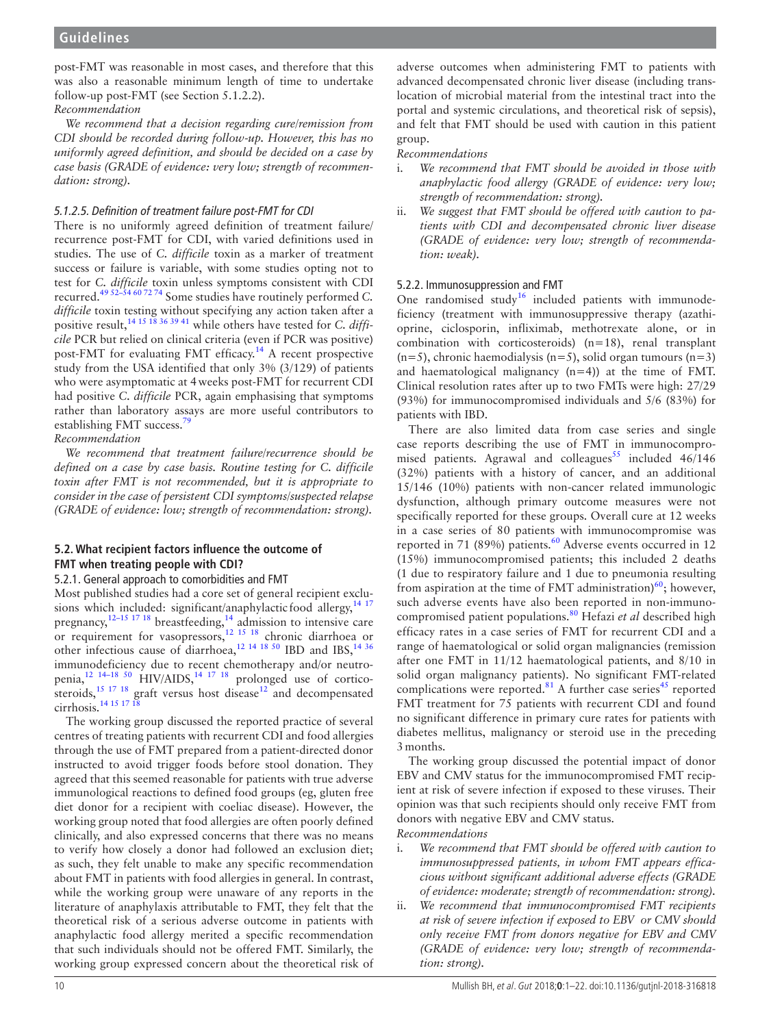post-FMT was reasonable in most cases, and therefore that this was also a reasonable minimum length of time to undertake follow-up post-FMT (see Section 5.1.2.2).

# *Recommendation*

*We recommend that a decision regarding cure/remission from CDI should be recorded during follow-up. However, this has no uniformly agreed definition, and should be decided on a case by case basis (GRADE of evidence: very low; strength of recommendation: strong).*

# *5.1.2.5. Definition of treatment failure post-FMT for CDI*

There is no uniformly agreed definition of treatment failure/ recurrence post-FMT for CDI, with varied definitions used in studies. The use of *C. difficile* toxin as a marker of treatment success or failure is variable, with some studies opting not to test for *C. difficile* toxin unless symptoms consistent with CDI recurred.[49 52–54 60 72 74](#page-20-20) Some studies have routinely performed *C. difficile* toxin testing without specifying any action taken after a positive result,[14 15 18 36 39 41](#page-19-23) while others have tested for *C. difficile* PCR but relied on clinical criteria (even if PCR was positive) post-FMT for evaluating FMT efficacy.[14](#page-19-23) A recent prospective study from the USA identified that only 3% (3/129) of patients who were asymptomatic at 4weeks post-FMT for recurrent CDI had positive *C. difficile* PCR, again emphasising that symptoms rather than laboratory assays are more useful contributors to establishing FMT success.<sup>79</sup>

*Recommendation*

*We recommend that treatment failure/recurrence should be defined on a case by case basis. Routine testing for C. difficile toxin after FMT is not recommended, but it is appropriate to consider in the case of persistent CDI symptoms/suspected relapse (GRADE of evidence: low; strength of recommendation: strong).*

# **5.2. What recipient factors influence the outcome of FMT when treating people with CDI?**

### 5.2.1. General approach to comorbidities and FMT

Most published studies had a core set of general recipient exclu-sions which included: significant/anaphylactic food allergy,<sup>[14 17](#page-19-23)</sup> pregnancy,  $12-15$  17 18 breastfeeding,  $14$  admission to intensive care or requirement for vasopressors,  $12^{15}$  18 chronic diarrhoea or other infectious cause of diarrhoea,<sup>[12 14 18 50](#page-19-17)</sup> IBD and IBS,<sup>[14 36](#page-19-23)</sup> immunodeficiency due to recent chemotherapy and/or neutropenia, $^{12}$  <sup>14–18 50</sup> HIV/AIDS, $^{14}$  <sup>17 18</sup> prolonged use of cortico-steroids,<sup>[15 17 18](#page-19-28)</sup> graft versus host disease<sup>12</sup> and decompensated cirrhosis.[14 15 17 18](#page-19-23)

The working group discussed the reported practice of several centres of treating patients with recurrent CDI and food allergies through the use of FMT prepared from a patient-directed donor instructed to avoid trigger foods before stool donation. They agreed that this seemed reasonable for patients with true adverse immunological reactions to defined food groups (eg, gluten free diet donor for a recipient with coeliac disease). However, the working group noted that food allergies are often poorly defined clinically, and also expressed concerns that there was no means to verify how closely a donor had followed an exclusion diet; as such, they felt unable to make any specific recommendation about FMT in patients with food allergies in general. In contrast, while the working group were unaware of any reports in the literature of anaphylaxis attributable to FMT, they felt that the theoretical risk of a serious adverse outcome in patients with anaphylactic food allergy merited a specific recommendation that such individuals should not be offered FMT. Similarly, the working group expressed concern about the theoretical risk of

adverse outcomes when administering FMT to patients with advanced decompensated chronic liver disease (including translocation of microbial material from the intestinal tract into the portal and systemic circulations, and theoretical risk of sepsis), and felt that FMT should be used with caution in this patient group.

# *Recommendations*

- i. *We recommend that FMT should be avoided in those with anaphylactic food allergy (GRADE of evidence: very low; strength of recommendation: strong).*
- We suggest that FMT should be offered with caution to pa*tients with CDI and decompensated chronic liver disease (GRADE of evidence: very low; strength of recommendation: weak).*

# 5.2.2. Immunosuppression and FMT

One randomised study<sup>[16](#page-19-21)</sup> included patients with immunodeficiency (treatment with immunosuppressive therapy (azathioprine, ciclosporin, infliximab, methotrexate alone, or in combination with corticosteroids) (n=18), renal transplant  $(n=5)$ , chronic haemodialysis  $(n=5)$ , solid organ tumours  $(n=3)$ and haematological malignancy (n=4)) at the time of FMT. Clinical resolution rates after up to two FMTs were high: 27/29 (93%) for immunocompromised individuals and 5/6 (83%) for patients with IBD.

There are also limited data from case series and single case reports describing the use of FMT in immunocompromised patients. Agrawal and colleagues<sup>55</sup> included  $46/146$ (32%) patients with a history of cancer, and an additional 15/146 (10%) patients with non-cancer related immunologic dysfunction, although primary outcome measures were not specifically reported for these groups. Overall cure at 12 weeks in a case series of 80 patients with immunocompromise was reported in 71 (89%) patients. $60$  Adverse events occurred in 12 (15%) immunocompromised patients; this included 2 deaths (1 due to respiratory failure and 1 due to pneumonia resulting from aspiration at the time of FMT administration) $60$ ; however, such adverse events have also been reported in non-immunocompromised patient populations.[80](#page-20-29) Hefazi *et al* described high efficacy rates in a case series of FMT for recurrent CDI and a range of haematological or solid organ malignancies (remission after one FMT in 11/12 haematological patients, and 8/10 in solid organ malignancy patients). No significant FMT-related complications were reported. $81$  A further case series<sup>[45](#page-20-19)</sup> reported FMT treatment for 75 patients with recurrent CDI and found no significant difference in primary cure rates for patients with diabetes mellitus, malignancy or steroid use in the preceding 3months.

The working group discussed the potential impact of donor EBV and CMV status for the immunocompromised FMT recipient at risk of severe infection if exposed to these viruses. Their opinion was that such recipients should only receive FMT from donors with negative EBV and CMV status. *Recommendations*

- We recommend that FMT should be offered with caution to *immunosuppressed patients, in whom FMT appears efficacious without significant additional adverse effects (GRADE of evidence: moderate; strength of recommendation: strong).*
- ii. *We recommend that immunocompromised FMT recipients at risk of severe infection if exposed to EBV or CMV should only receive FMT from donors negative for EBV and CMV (GRADE of evidence: very low; strength of recommendation: strong).*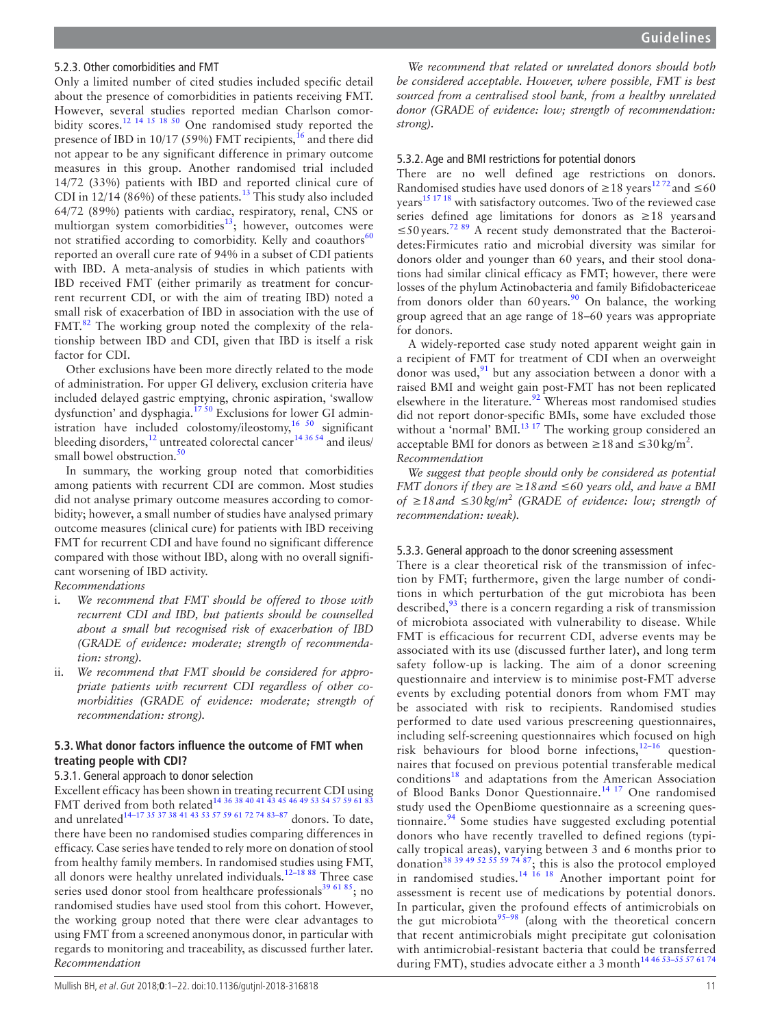### 5.2.3. Other comorbidities and FMT

Only a limited number of cited studies included specific detail about the presence of comorbidities in patients receiving FMT. However, several studies reported median Charlson comor-bidity scores.<sup>[12 14 15 18 50](#page-19-17)</sup> One randomised study reported the presence of IBD in 10/17 (59%) FMT recipients,  $^{16}$  $^{16}$  $^{16}$  and there did not appear to be any significant difference in primary outcome measures in this group. Another randomised trial included 14/72 (33%) patients with IBD and reported clinical cure of CDI in  $12/14$  (86%) of these patients.<sup>13</sup> This study also included 64/72 (89%) patients with cardiac, respiratory, renal, CNS or multiorgan system comorbidities<sup>[13](#page-19-18)</sup>; however, outcomes were not stratified according to comorbidity. Kelly and coauthors<sup>[60](#page-20-21)</sup> reported an overall cure rate of 94% in a subset of CDI patients with IBD. A meta-analysis of studies in which patients with IBD received FMT (either primarily as treatment for concurrent recurrent CDI, or with the aim of treating IBD) noted a small risk of exacerbation of IBD in association with the use of FMT.<sup>[82](#page-20-31)</sup> The working group noted the complexity of the relationship between IBD and CDI, given that IBD is itself a risk factor for CDI.

Other exclusions have been more directly related to the mode of administration. For upper GI delivery, exclusion criteria have included delayed gastric emptying, chronic aspiration, 'swallow dysfunction' and dysphagia.<sup>1750</sup> Exclusions for lower GI administration have included colostomy/ileostomy, $1650$  significant bleeding disorders,<sup>[12](#page-19-17)</sup> untreated colorectal cancer<sup>[14 36 54](#page-19-23)</sup> and ileus/ small bowel obstruction.<sup>[50](#page-20-32)</sup>

In summary, the working group noted that comorbidities among patients with recurrent CDI are common. Most studies did not analyse primary outcome measures according to comorbidity; however, a small number of studies have analysed primary outcome measures (clinical cure) for patients with IBD receiving FMT for recurrent CDI and have found no significant difference compared with those without IBD, along with no overall significant worsening of IBD activity.

*Recommendations*

- i. *We recommend that FMT should be offered to those with recurrent CDI and IBD, but patients should be counselled about a small but recognised risk of exacerbation of IBD (GRADE of evidence: moderate; strength of recommendation: strong).*
- ii. *We recommend that FMT should be considered for appropriate patients with recurrent CDI regardless of other comorbidities (GRADE of evidence: moderate; strength of recommendation: strong).*

### **5.3. What donor factors influence the outcome of FMT when treating people with CDI?**

#### 5.3.1. General approach to donor selection

Excellent efficacy has been shown in treating recurrent CDI using FMT derived from both related[14 36 38 40 41 43 45 46 49 53 54 57 59 61 83](#page-19-23) and unrelated<sup>14–17</sup> <sup>35</sup> <sup>37</sup> <sup>38</sup> <sup>41</sup> <sup>43</sup> <sup>57</sup> <sup>59</sup> <sup>61</sup><sup>72</sup> <sup>74</sup> <sup>83–87</sup> donors. To date, there have been no randomised studies comparing differences in efficacy. Case series have tended to rely more on donation of stool from healthy family members. In randomised studies using FMT, all donors were healthy unrelated individuals.<sup>[12–18 88](#page-19-17)</sup> Three case series used donor stool from healthcare professionals<sup>[39 61 85](#page-19-30)</sup>; no randomised studies have used stool from this cohort. However, the working group noted that there were clear advantages to using FMT from a screened anonymous donor, in particular with regards to monitoring and traceability, as discussed further later. *Recommendation*

*We recommend that related or unrelated donors should both be considered acceptable. However, where possible, FMT is best sourced from a centralised stool bank, from a healthy unrelated donor (GRADE of evidence: low; strength of recommendation: strong).*

#### 5.3.2. Age and BMI restrictions for potential donors

There are no well defined age restrictions on donors. Randomised studies have used donors of  $\geq 18$  years<sup>1272</sup> and  $\leq 60$ years<sup>[15 17 18](#page-19-28)</sup> with satisfactory outcomes. Two of the reviewed case series defined age limitations for donors as ≥18 years and  $\leq$ 50 years.<sup>[72 89](#page-20-24)</sup> A recent study demonstrated that the Bacteroidetes:Firmicutes ratio and microbial diversity was similar for donors older and younger than 60 years, and their stool donations had similar clinical efficacy as FMT; however, there were losses of the phylum Actinobacteria and family Bifidobactericeae from donors older than  $60 \text{ years.}^{90}$  On balance, the working group agreed that an age range of 18–60 years was appropriate for donors.

A widely-reported case study noted apparent weight gain in a recipient of FMT for treatment of CDI when an overweight donor was used, $91$  but any association between a donor with a raised BMI and weight gain post-FMT has not been replicated elsewhere in the literature.<sup>92</sup> Whereas most randomised studies did not report donor-specific BMIs, some have excluded those without a 'normal' BMI.<sup>13 17</sup> The working group considered an acceptable BMI for donors as between ≥18 and ≤30 kg/m<sup>2</sup>. *Recommendation*

*We suggest that people should only be considered as potential FMT donors if they are ≥18and ≤60 years old, and have a BMI of ≥18and ≤30kg/m<sup>2</sup> (GRADE of evidence: low; strength of recommendation: weak).*

#### 5.3.3. General approach to the donor screening assessment

There is a clear theoretical risk of the transmission of infection by FMT; furthermore, given the large number of conditions in which perturbation of the gut microbiota has been described,<sup>93</sup> there is a concern regarding a risk of transmission of microbiota associated with vulnerability to disease. While FMT is efficacious for recurrent CDI, adverse events may be associated with its use (discussed further later), and long term safety follow-up is lacking. The aim of a donor screening questionnaire and interview is to minimise post-FMT adverse events by excluding potential donors from whom FMT may be associated with risk to recipients. Randomised studies performed to date used various prescreening questionnaires, including self-screening questionnaires which focused on high risk behaviours for blood borne infections,[12–16](#page-19-17) questionnaires that focused on previous potential transferable medical conditions<sup>[18](#page-19-24)</sup> and adaptations from the American Association of Blood Banks Donor Questionnaire.<sup>[14 17](#page-19-23)</sup> One randomised study used the OpenBiome questionnaire as a screening ques-tionnaire.<sup>[94](#page-20-37)</sup> Some studies have suggested excluding potential donors who have recently travelled to defined regions (typically tropical areas), varying between 3 and 6 months prior to donation<sup>[38 39 49 52 55 59 74 87](#page-19-31)</sup>; this is also the protocol employed in randomised studies. $14 \tcdot 16 \tcdot 18$  Another important point for assessment is recent use of medications by potential donors. In particular, given the profound effects of antimicrobials on the gut microbiota<sup>[95–98](#page-20-38)</sup> (along with the theoretical concern that recent antimicrobials might precipitate gut colonisation with antimicrobial-resistant bacteria that could be transferred during FMT), studies advocate either a 3 month<sup>14 46 53-55 57 61 74</sup>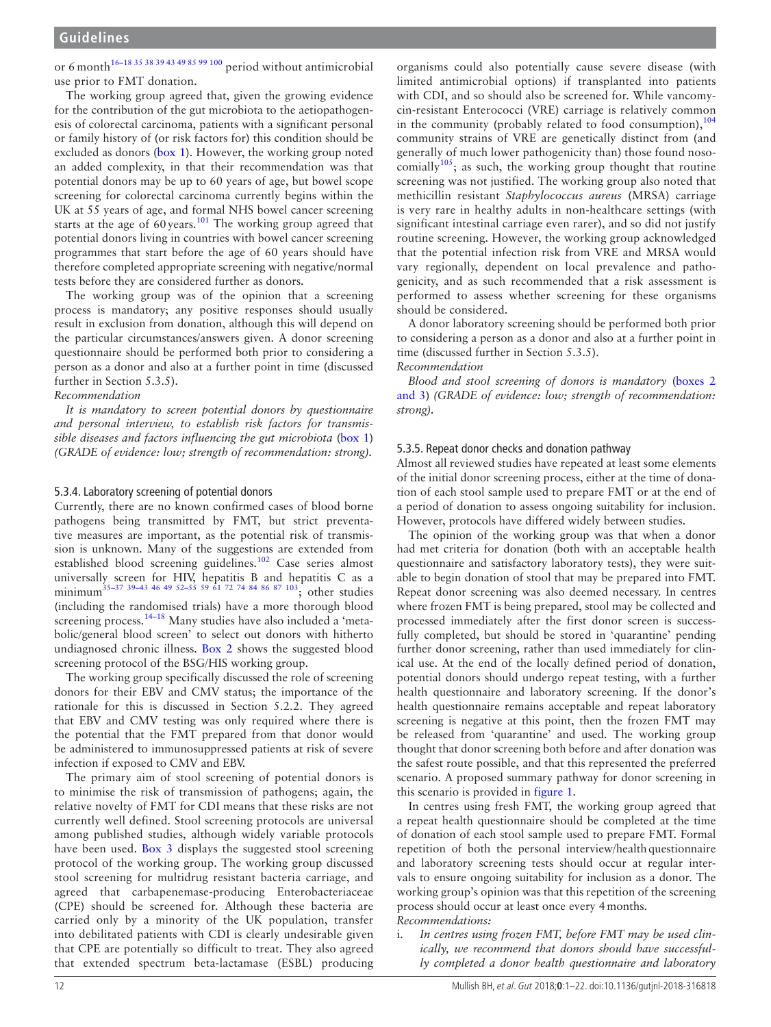or 6 month<sup>16–18</sup> 35 38 39 43 49 85 99 100 period without antimicrobial use prior to FMT donation.

The working group agreed that, given the growing evidence for the contribution of the gut microbiota to the aetiopathogenesis of colorectal carcinoma, patients with a significant personal or family history of (or risk factors for) this condition should be excluded as donors [\(box](#page-2-0) 1). However, the working group noted an added complexity, in that their recommendation was that potential donors may be up to 60 years of age, but bowel scope screening for colorectal carcinoma currently begins within the UK at 55 years of age, and formal NHS bowel cancer screening starts at the age of  $60$  years.<sup>101</sup> The working group agreed that potential donors living in countries with bowel cancer screening programmes that start before the age of 60 years should have therefore completed appropriate screening with negative/normal tests before they are considered further as donors.

The working group was of the opinion that a screening process is mandatory; any positive responses should usually result in exclusion from donation, although this will depend on the particular circumstances/answers given. A donor screening questionnaire should be performed both prior to considering a person as a donor and also at a further point in time (discussed further in Section 5.3.5).

#### *Recommendation*

*It is mandatory to screen potential donors by questionnaire and personal interview, to establish risk factors for transmissible diseases and factors influencing the gut microbiota* [\(box](#page-5-0) 1) *(GRADE of evidence: low; strength of recommendation: strong).*

# 5.3.4. Laboratory screening of potential donors

Currently, there are no known confirmed cases of blood borne pathogens being transmitted by FMT, but strict preventative measures are important, as the potential risk of transmission is unknown. Many of the suggestions are extended from established blood screening guidelines.[102](#page-21-1) Case series almost universally screen for HIV, hepatitis B and hepatitis C as a minimum<sup>35–37</sup> <sup>39–43</sup> <sup>46</sup> <sup>49</sup> <sup>52–55</sup> <sup>59</sup> <sup>61</sup> <sup>72</sup> <sup>74</sup> <sup>84</sup> <sup>86</sup> <sup>87</sup> <sup>103</sup>; other studies (including the randomised trials) have a more thorough blood screening process.<sup>14–18</sup> Many studies have also included a 'metabolic/general blood screen' to select out donors with hitherto undiagnosed chronic illness. [Box](#page-2-1) 2 shows the suggested blood screening protocol of the BSG/HIS working group.

The working group specifically discussed the role of screening donors for their EBV and CMV status; the importance of the rationale for this is discussed in Section 5.2.2. They agreed that EBV and CMV testing was only required where there is the potential that the FMT prepared from that donor would be administered to immunosuppressed patients at risk of severe infection if exposed to CMV and EBV.

The primary aim of stool screening of potential donors is to minimise the risk of transmission of pathogens; again, the relative novelty of FMT for CDI means that these risks are not currently well defined. Stool screening protocols are universal among published studies, although widely variable protocols have been used. [Box](#page-2-2) 3 displays the suggested stool screening protocol of the working group. The working group discussed stool screening for multidrug resistant bacteria carriage, and agreed that carbapenemase-producing Enterobacteriaceae (CPE) should be screened for. Although these bacteria are carried only by a minority of the UK population, transfer into debilitated patients with CDI is clearly undesirable given that CPE are potentially so difficult to treat. They also agreed that extended spectrum beta-lactamase (ESBL) producing

organisms could also potentially cause severe disease (with limited antimicrobial options) if transplanted into patients with CDI, and so should also be screened for. While vancomycin-resistant Enterococci (VRE) carriage is relatively common in the community (probably related to food consumption),  $104$ community strains of VRE are genetically distinct from (and generally of much lower pathogenicity than) those found noso-comially<sup>[105](#page-21-3)</sup>; as such, the working group thought that routine screening was not justified. The working group also noted that methicillin resistant *Staphylococcus aureus* (MRSA) carriage is very rare in healthy adults in non-healthcare settings (with significant intestinal carriage even rarer), and so did not justify routine screening. However, the working group acknowledged that the potential infection risk from VRE and MRSA would vary regionally, dependent on local prevalence and pathogenicity, and as such recommended that a risk assessment is performed to assess whether screening for these organisms should be considered.

A donor laboratory screening should be performed both prior to considering a person as a donor and also at a further point in time (discussed further in Section 5.3.5).

### *Recommendation*

*Blood and stool screening of donors is mandatory* [\(boxes 2](#page-2-1) [and 3](#page-2-1)) *(GRADE of evidence: low; strength of recommendation: strong).*

# 5.3.5. Repeat donor checks and donation pathway

Almost all reviewed studies have repeated at least some elements of the initial donor screening process, either at the time of donation of each stool sample used to prepare FMT or at the end of a period of donation to assess ongoing suitability for inclusion. However, protocols have differed widely between studies.

The opinion of the working group was that when a donor had met criteria for donation (both with an acceptable health questionnaire and satisfactory laboratory tests), they were suitable to begin donation of stool that may be prepared into FMT. Repeat donor screening was also deemed necessary. In centres where frozen FMT is being prepared, stool may be collected and processed immediately after the first donor screen is successfully completed, but should be stored in 'quarantine' pending further donor screening, rather than used immediately for clinical use. At the end of the locally defined period of donation, potential donors should undergo repeat testing, with a further health questionnaire and laboratory screening. If the donor's health questionnaire remains acceptable and repeat laboratory screening is negative at this point, then the frozen FMT may be released from 'quarantine' and used. The working group thought that donor screening both before and after donation was the safest route possible, and that this represented the preferred scenario. A proposed summary pathway for donor screening in this scenario is provided in [figure](#page-12-0) 1.

In centres using fresh FMT, the working group agreed that a repeat health questionnaire should be completed at the time of donation of each stool sample used to prepare FMT. Formal repetition of both the personal interview/healthquestionnaire and laboratory screening tests should occur at regular intervals to ensure ongoing suitability for inclusion as a donor. The working group's opinion was that this repetition of the screening process should occur at least once every 4months. *Recommendations:*

i. *In centres using frozen FMT, before FMT may be used clinically, we recommend that donors should have successfully completed a donor health questionnaire and laboratory*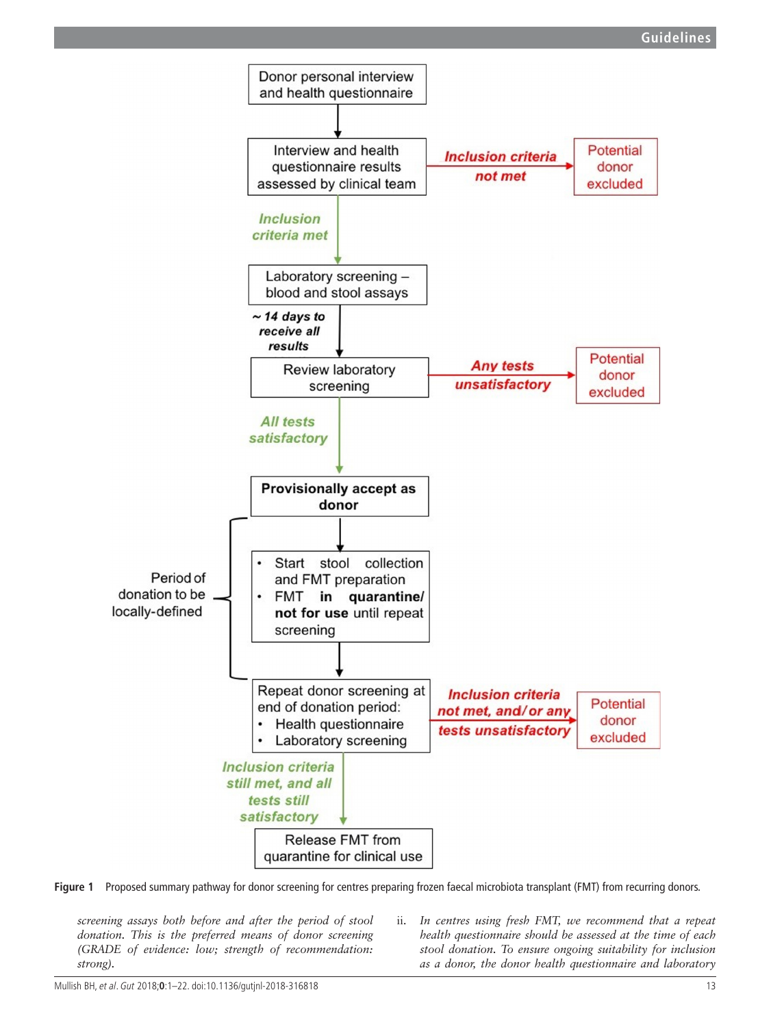

**Figure 1** Proposed summary pathway for donor screening for centres preparing frozen faecal microbiota transplant (FMT) from recurring donors.

<span id="page-12-0"></span>*screening assays both before and after the period of stool donation. This is the preferred means of donor screening (GRADE of evidence: low; strength of recommendation: strong).*

ii. *In centres using fresh FMT, we recommend that a repeat health questionnaire should be assessed at the time of each stool donation. To ensure ongoing suitability for inclusion as a donor, the donor health questionnaire and laboratory*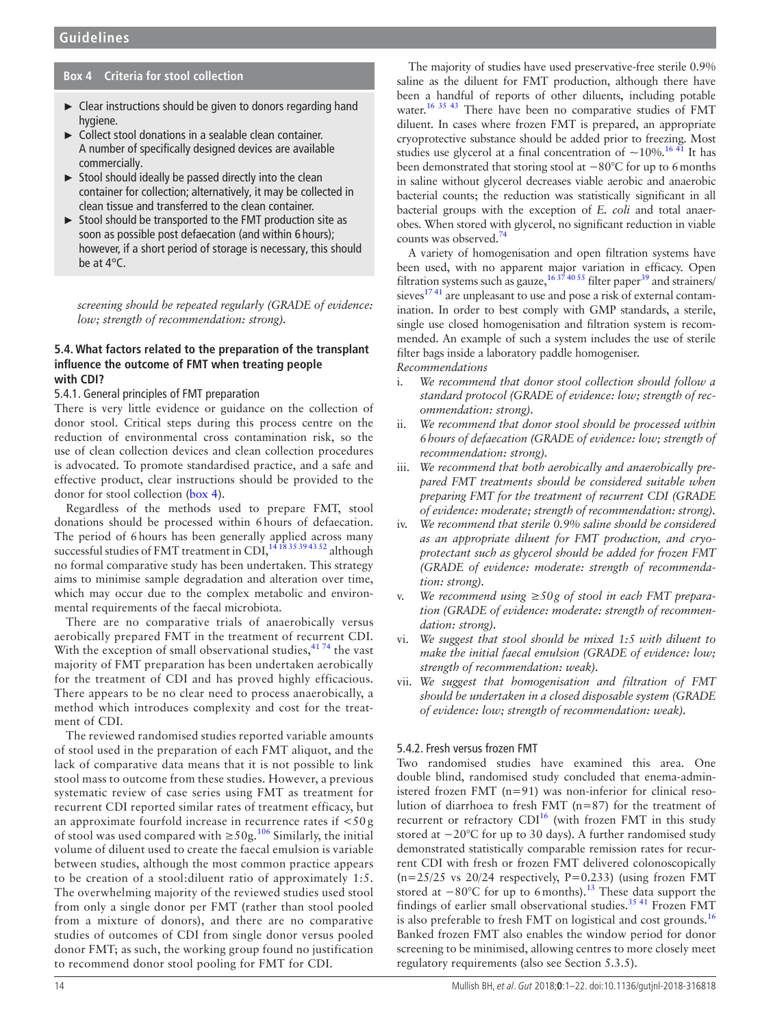# **Box 4 Criteria for stool collection**

- <span id="page-13-0"></span>► Clear instructions should be given to donors regarding hand hygiene.
- ► Collect stool donations in a sealable clean container. A number of specifically designed devices are available commercially.
- ► Stool should ideally be passed directly into the clean container for collection; alternatively, it may be collected in clean tissue and transferred to the clean container.
- ► Stool should be transported to the FMT production site as soon as possible post defaecation (and within 6 hours); however, if a short period of storage is necessary, this should be at 4°C.

*screening should be repeated regularly (GRADE of evidence: low; strength of recommendation: strong).*

# **5.4. What factors related to the preparation of the transplant influence the outcome of FMT when treating people with CDI?**

# 5.4.1. General principles of FMT preparation

There is very little evidence or guidance on the collection of donor stool. Critical steps during this process centre on the reduction of environmental cross contamination risk, so the use of clean collection devices and clean collection procedures is advocated. To promote standardised practice, and a safe and effective product, clear instructions should be provided to the donor for stool collection [\(box](#page-13-0) 4).

Regardless of the methods used to prepare FMT, stool donations should be processed within 6hours of defaecation. The period of 6hours has been generally applied across many successful studies of FMT treatment in CDI,  $141835394352$  although no formal comparative study has been undertaken. This strategy aims to minimise sample degradation and alteration over time, which may occur due to the complex metabolic and environmental requirements of the faecal microbiota.

There are no comparative trials of anaerobically versus aerobically prepared FMT in the treatment of recurrent CDI. With the exception of small observational studies,  $4174$  the vast majority of FMT preparation has been undertaken aerobically for the treatment of CDI and has proved highly efficacious. There appears to be no clear need to process anaerobically, a method which introduces complexity and cost for the treatment of CDI.

The reviewed randomised studies reported variable amounts of stool used in the preparation of each FMT aliquot, and the lack of comparative data means that it is not possible to link stool mass to outcome from these studies. However, a previous systematic review of case series using FMT as treatment for recurrent CDI reported similar rates of treatment efficacy, but an approximate fourfold increase in recurrence rates if <50 g of stool was used compared with  $\geq$  50g.<sup>[106](#page-21-4)</sup> Similarly, the initial volume of diluent used to create the faecal emulsion is variable between studies, although the most common practice appears to be creation of a stool:diluent ratio of approximately 1:5. The overwhelming majority of the reviewed studies used stool from only a single donor per FMT (rather than stool pooled from a mixture of donors), and there are no comparative studies of outcomes of CDI from single donor versus pooled donor FMT; as such, the working group found no justification to recommend donor stool pooling for FMT for CDI.

The majority of studies have used preservative-free sterile 0.9% saline as the diluent for FMT production, although there have been a handful of reports of other diluents, including potable water.<sup>[16 35 43](#page-19-21)</sup> There have been no comparative studies of FMT diluent. In cases where frozen FMT is prepared, an appropriate cryoprotective substance should be added prior to freezing. Most studies use glycerol at a final concentration of  $\sim$ 10%.<sup>1641</sup> It has been demonstrated that storing stool at −80°C for up to 6months in saline without glycerol decreases viable aerobic and anaerobic bacterial counts; the reduction was statistically significant in all bacterial groups with the exception of *E. coli* and total anaerobes. When stored with glycerol, no significant reduction in viable counts was observed[.74](#page-20-39)

A variety of homogenisation and open filtration systems have been used, with no apparent major variation in efficacy. Open filtration systems such as gauze,  $16374035$  filter paper  $39$  and strainers/ sieves $1741$  are unpleasant to use and pose a risk of external contamination. In order to best comply with GMP standards, a sterile, single use closed homogenisation and filtration system is recommended. An example of such a system includes the use of sterile filter bags inside a laboratory paddle homogeniser.

*Recommendations*

- i. *We recommend that donor stool collection should follow a standard protocol (GRADE of evidence: low; strength of recommendation: strong).*
- ii. *We recommend that donor stool should be processed within 6hours of defaecation (GRADE of evidence: low; strength of recommendation: strong).*
- iii. *We recommend that both aerobically and anaerobically prepared FMT treatments should be considered suitable when preparing FMT for the treatment of recurrent CDI (GRADE of evidence: moderate; strength of recommendation: strong).*
- iv. *We recommend that sterile 0.9% saline should be considered as an appropriate diluent for FMT production, and cryoprotectant such as glycerol should be added for frozen FMT (GRADE of evidence: moderate: strength of recommendation: strong).*
- v. *We recommend using ≥50g of stool in each FMT preparation (GRADE of evidence: moderate: strength of recommendation: strong).*
- vi. *We suggest that stool should be mixed 1:5 with diluent to make the initial faecal emulsion (GRADE of evidence: low; strength of recommendation: weak).*
- vii. *We suggest that homogenisation and filtration of FMT should be undertaken in a closed disposable system (GRADE of evidence: low; strength of recommendation: weak).*

# 5.4.2. Fresh versus frozen FMT

Two randomised studies have examined this area. One double blind, randomised study concluded that enema-administered frozen FMT (n=91) was non-inferior for clinical resolution of diarrhoea to fresh FMT (n=87) for the treatment of recurrent or refractory  $CDI<sup>16</sup>$  $CDI<sup>16</sup>$  $CDI<sup>16</sup>$  (with frozen FMT in this study stored at −20°C for up to 30 days). A further randomised study demonstrated statistically comparable remission rates for recurrent CDI with fresh or frozen FMT delivered colonoscopically  $(n=25/25 \text{ vs } 20/24 \text{ respectively, } P=0.233)$  (using frozen FMT stored at  $-80^{\circ}$ C for up to 6 months).<sup>13</sup> These data support the findings of earlier small observational studies.<sup>[35 41](#page-19-26)</sup> Frozen FMT is also preferable to fresh FMT on logistical and cost grounds.<sup>[16](#page-19-21)</sup> Banked frozen FMT also enables the window period for donor screening to be minimised, allowing centres to more closely meet regulatory requirements (also see Section 5.3.5).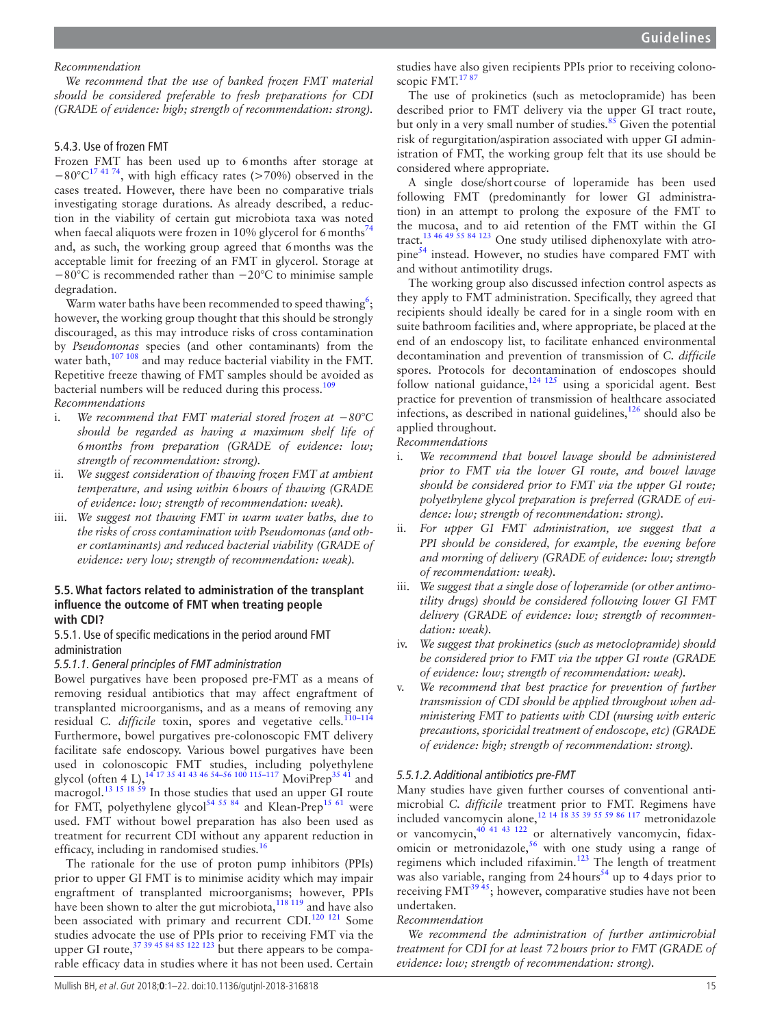### *Recommendation*

*We recommend that the use of banked frozen FMT material should be considered preferable to fresh preparations for CDI (GRADE of evidence: high; strength of recommendation: strong).*

#### 5.4.3. Use of frozen FMT

Frozen FMT has been used up to 6months after storage at  $-80^{\circ}$ C<sup>[17 41 74](#page-19-20)</sup>, with high efficacy rates (>70%) observed in the cases treated. However, there have been no comparative trials investigating storage durations. As already described, a reduction in the viability of certain gut microbiota taxa was noted when faecal aliquots were frozen in 10% glycerol for 6 months<sup>[74](#page-20-39)</sup> and, as such, the working group agreed that 6months was the acceptable limit for freezing of an FMT in glycerol. Storage at −80°C is recommended rather than −20°C to minimise sample degradation.

Warm water baths have been recommended to speed thawing<sup>[6](#page-19-3)</sup>; however, the working group thought that this should be strongly discouraged, as this may introduce risks of cross contamination by *Pseudomonas* species (and other contaminants) from the water bath,<sup>[107 108](#page-21-5)</sup> and may reduce bacterial viability in the FMT. Repetitive freeze thawing of FMT samples should be avoided as bacterial numbers will be reduced during this process.<sup>109</sup> *Recommendations*

- i. *We recommend that FMT material stored frozen at −80°C should be regarded as having a maximum shelf life of 6months from preparation (GRADE of evidence: low; strength of recommendation: strong).*
- ii. *We suggest consideration of thawing frozen FMT at ambient temperature, and using within 6hours of thawing (GRADE of evidence: low; strength of recommendation: weak).*
- iii. *We suggest not thawing FMT in warm water baths, due to the risks of cross contamination with Pseudomonas (and other contaminants) and reduced bacterial viability (GRADE of evidence: very low; strength of recommendation: weak).*

#### **5.5. What factors related to administration of the transplant influence the outcome of FMT when treating people with CDI?**

5.5.1. Use of specific medications in the period around FMT administration

#### *5.5.1.1. General principles of FMT administration*

Bowel purgatives have been proposed pre-FMT as a means of removing residual antibiotics that may affect engraftment of transplanted microorganisms, and as a means of removing any residual *C. difficile* toxin, spores and vegetative cells.<sup>110-114</sup> Furthermore, bowel purgatives pre-colonoscopic FMT delivery facilitate safe endoscopy. Various bowel purgatives have been used in colonoscopic FMT studies, including polyethylene glycol (often 4 L),  $^{14}$ <sup>17 35</sup> <sup>41 43</sup> 46<sup>54–56</sup> 100 115–117</sup> MoviPrep<sup>[35 41](#page-19-26)</sup> and macrogol.<sup>[13 15 18 59](#page-19-18)</sup> In those studies that used an upper GI route for FMT, polyethylene glycol<sup>[54 55 84](#page-20-4)</sup> and Klean-Prep<sup>[15 61](#page-19-28)</sup> were used. FMT without bowel preparation has also been used as treatment for recurrent CDI without any apparent reduction in efficacy, including in randomised studies.<sup>1</sup>

The rationale for the use of proton pump inhibitors (PPIs) prior to upper GI FMT is to minimise acidity which may impair engraftment of transplanted microorganisms; however, PPIs have been shown to alter the gut microbiota,<sup>118 119</sup> and have also been associated with primary and recurrent CDI.<sup>120</sup> 121 Some studies advocate the use of PPIs prior to receiving FMT via the upper GI route, $37\frac{39}{39}$  45 84 85 122 123 but there appears to be comparable efficacy data in studies where it has not been used. Certain

studies have also given recipients PPIs prior to receiving colonoscopic FMT.<sup>1787</sup>

The use of prokinetics (such as metoclopramide) has been described prior to FMT delivery via the upper GI tract route, but only in a very small number of studies.<sup>[85](#page-20-40)</sup> Given the potential risk of regurgitation/aspiration associated with upper GI administration of FMT, the working group felt that its use should be considered where appropriate.

A single dose/short course of loperamide has been used following FMT (predominantly for lower GI administration) in an attempt to prolong the exposure of the FMT to the mucosa, and to aid retention of the FMT within the GI tract.<sup>[13 46 49 55 84 123](#page-19-18)</sup> One study utilised diphenoxylate with atro-pine<sup>[54](#page-20-4)</sup> instead. However, no studies have compared FMT with and without antimotility drugs.

The working group also discussed infection control aspects as they apply to FMT administration. Specifically, they agreed that recipients should ideally be cared for in a single room with en suite bathroom facilities and, where appropriate, be placed at the end of an endoscopy list, to facilitate enhanced environmental decontamination and prevention of transmission of *C. difficile* spores. Protocols for decontamination of endoscopes should follow national guidance,  $124 \frac{125}{125}$  using a sporicidal agent. Best practice for prevention of transmission of healthcare associated infections, as described in national guidelines, $126$  should also be applied throughout.

*Recommendations*

- i. *We recommend that bowel lavage should be administered prior to FMT via the lower GI route, and bowel lavage should be considered prior to FMT via the upper GI route; polyethylene glycol preparation is preferred (GRADE of evidence: low; strength of recommendation: strong).*
- ii. *For upper GI FMT administration, we suggest that a PPI should be considered, for example, the evening before and morning of delivery (GRADE of evidence: low; strength of recommendation: weak).*
- iii. *We suggest that a single dose of loperamide (or other antimotility drugs) should be considered following lower GI FMT delivery (GRADE of evidence: low; strength of recommendation: weak).*
- iv. *We suggest that prokinetics (such as metoclopramide) should be considered prior to FMT via the upper GI route (GRADE of evidence: low; strength of recommendation: weak).*
- We recommend that best practice for prevention of further *transmission of CDI should be applied throughout when administering FMT to patients with CDI (nursing with enteric precautions, sporicidal treatment of endoscope, etc) (GRADE of evidence: high; strength of recommendation: strong).*

#### *5.5.1.2. Additional antibiotics pre-FMT*

Many studies have given further courses of conventional antimicrobial *C. difficile* treatment prior to FMT. Regimens have included vancomycin alone,  $^{12}$  <sup>14 18</sup> 35 39 55 59 86 117 metronidazole or vancomycin,  $40^{41}$   $43^{122}$  or alternatively vancomycin, fidax-omicin or metronidazole,<sup>[56](#page-20-41)</sup> with one study using a range of regimens which included rifaximin.<sup>123</sup> The length of treatment was also variable, ranging from  $24 \text{ hours}^{54}$  $24 \text{ hours}^{54}$  $24 \text{ hours}^{54}$  up to 4 days prior to receiving  $FMT^{3945}$ ; however, comparative studies have not been undertaken.

#### *Recommendation*

*We recommend the administration of further antimicrobial treatment for CDI for at least 72hours prior to FMT (GRADE of evidence: low; strength of recommendation: strong).*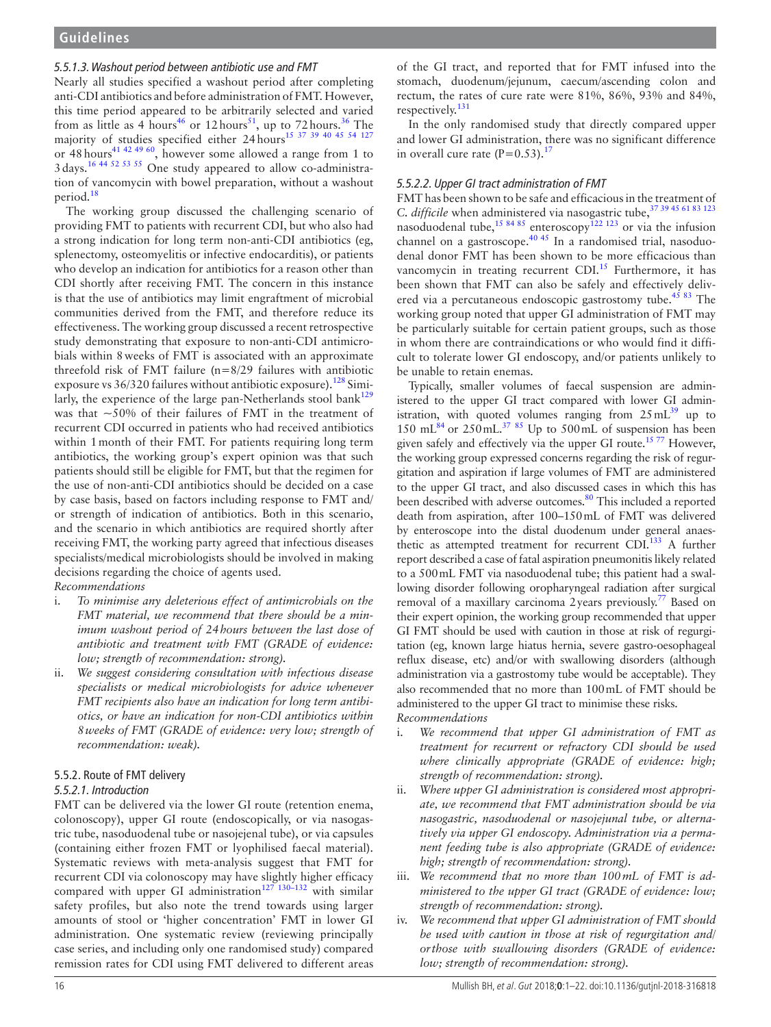# *5.5.1.3. Washout period between antibiotic use and FMT*

Nearly all studies specified a washout period after completing anti-CDI antibiotics and before administration of FMT. However, this time period appeared to be arbitrarily selected and varied from as little as 4 hours<sup>[46](#page-20-0)</sup> or 12 hours<sup>[51](#page-20-23)</sup>, up to 72 hours.<sup>[36](#page-19-27)</sup> The majority of studies specified either  $24 \text{ hours}^{15}$   $\frac{37}{39}$   $\frac{39}{40}$   $\frac{45}{45}$   $\frac{54}{127}$ or  $48 \text{ hours}^{41 \frac{42 \frac{49}{60}}$ , however some allowed a range from 1 to  $3 \text{ days.}^{16 \text{ day } 52 \text{ } 53 \text{ } 55}$  One study appeared to allow co-administration of vancomycin with bowel preparation, without a washout period.[18](#page-19-24)

The working group discussed the challenging scenario of providing FMT to patients with recurrent CDI, but who also had a strong indication for long term non-anti-CDI antibiotics (eg, splenectomy, osteomyelitis or infective endocarditis), or patients who develop an indication for antibiotics for a reason other than CDI shortly after receiving FMT. The concern in this instance is that the use of antibiotics may limit engraftment of microbial communities derived from the FMT, and therefore reduce its effectiveness. The working group discussed a recent retrospective study demonstrating that exposure to non-anti-CDI antimicrobials within 8weeks of FMT is associated with an approximate threefold risk of FMT failure (n=8/29 failures with antibiotic exposure vs  $36/320$  failures without antibiotic exposure).<sup>[128](#page-21-13)</sup> Simi-larly, the experience of the large pan-Netherlands stool bank<sup>[129](#page-21-14)</sup> was that ~50% of their failures of FMT in the treatment of recurrent CDI occurred in patients who had received antibiotics within 1month of their FMT. For patients requiring long term antibiotics, the working group's expert opinion was that such patients should still be eligible for FMT, but that the regimen for the use of non-anti-CDI antibiotics should be decided on a case by case basis, based on factors including response to FMT and/ or strength of indication of antibiotics. Both in this scenario, and the scenario in which antibiotics are required shortly after receiving FMT, the working party agreed that infectious diseases specialists/medical microbiologists should be involved in making decisions regarding the choice of agents used.

*Recommendations*

- i. *To minimise any deleterious effect of antimicrobials on the FMT material, we recommend that there should be a minimum washout period of 24hours between the last dose of antibiotic and treatment with FMT (GRADE of evidence: low; strength of recommendation: strong).*
- ii. *We suggest considering consultation with infectious disease specialists or medical microbiologists for advice whenever FMT recipients also have an indication for long term antibiotics, or have an indication for non-CDI antibiotics within 8weeks of FMT (GRADE of evidence: very low; strength of recommendation: weak).*

### 5.5.2. Route of FMT delivery

### *5.5.2.1. Introduction*

FMT can be delivered via the lower GI route (retention enema, colonoscopy), upper GI route (endoscopically, or via nasogastric tube, nasoduodenal tube or nasojejenal tube), or via capsules (containing either frozen FMT or lyophilised faecal material). Systematic reviews with meta-analysis suggest that FMT for recurrent CDI via colonoscopy may have slightly higher efficacy compared with upper GI administration<sup>127 130-132</sup> with similar safety profiles, but also note the trend towards using larger amounts of stool or 'higher concentration' FMT in lower GI administration. One systematic review (reviewing principally case series, and including only one randomised study) compared remission rates for CDI using FMT delivered to different areas

of the GI tract, and reported that for FMT infused into the stomach, duodenum/jejunum, caecum/ascending colon and rectum, the rates of cure rate were 81%, 86%, 93% and 84%, respectively[.131](#page-21-16)

In the only randomised study that directly compared upper and lower GI administration, there was no significant difference in overall cure rate  $(P=0.53)$ .<sup>[17](#page-19-20)</sup>

# *5.5.2.2. Upper GI tract administration of FMT*

FMT has been shown to be safe and efficacious in the treatment of C. difficile when administered via nasogastric tube,<sup>[37 39 45 61 83 123](#page-19-22)</sup> nasoduodenal tube,  $^{15}$   $^{84}$   $^{85}$  enteroscopy<sup>122 123</sup> or via the infusion channel on a gastroscope.<sup>[40 45](#page-19-19)</sup> In a randomised trial, nasoduodenal donor FMT has been shown to be more efficacious than vancomycin in treating recurrent CDI $^{15}$  $^{15}$  $^{15}$  Furthermore, it has been shown that FMT can also be safely and effectively deliv-ered via a percutaneous endoscopic gastrostomy tube.<sup>[45 83](#page-20-19)</sup> The working group noted that upper GI administration of FMT may be particularly suitable for certain patient groups, such as those in whom there are contraindications or who would find it difficult to tolerate lower GI endoscopy, and/or patients unlikely to be unable to retain enemas.

Typically, smaller volumes of faecal suspension are administered to the upper GI tract compared with lower GI administration, with quoted volumes ranging from  $25 \text{ mL}^{39}$  $25 \text{ mL}^{39}$  $25 \text{ mL}^{39}$  up to 150 mL $^{84}$  $^{84}$  $^{84}$  or 250 mL $^{37}$  $^{37}$  $^{37}$   $^{85}$  $^{85}$  $^{85}$  Up to 500 mL of suspension has been given safely and effectively via the upper GI route.[15 77](#page-19-28) However, the working group expressed concerns regarding the risk of regurgitation and aspiration if large volumes of FMT are administered to the upper GI tract, and also discussed cases in which this has been described with adverse outcomes.<sup>80</sup> This included a reported death from aspiration, after 100–150mL of FMT was delivered by enteroscope into the distal duodenum under general anaes-thetic as attempted treatment for recurrent CDI.<sup>[133](#page-21-18)</sup> A further report described a case of fatal aspiration pneumonitis likely related to a 500mL FMT via nasoduodenal tube; this patient had a swallowing disorder following oropharyngeal radiation after surgical removal of a maxillary carcinoma 2years previously.<sup>77</sup> Based on their expert opinion, the working group recommended that upper GI FMT should be used with caution in those at risk of regurgitation (eg, known large hiatus hernia, severe gastro-oesophageal reflux disease, etc) and/or with swallowing disorders (although administration via a gastrostomy tube would be acceptable). They also recommended that no more than 100mL of FMT should be administered to the upper GI tract to minimise these risks. *Recommendations*

- i. *We recommend that upper GI administration of FMT as treatment for recurrent or refractory CDI should be used where clinically appropriate (GRADE of evidence: high; strength of recommendation: strong).*
- Where upper GI administration is considered most appropri*ate, we recommend that FMT administration should be via nasogastric, nasoduodenal or nasojejunal tube, or alternatively via upper GI endoscopy. Administration via a permanent feeding tube is also appropriate (GRADE of evidence: high; strength of recommendation: strong).*
- iii. *We recommend that no more than 100mL of FMT is administered to the upper GI tract (GRADE of evidence: low; strength of recommendation: strong).*
- iv. *We recommend that upper GI administration of FMT should be used with caution in those at risk of regurgitation and/ orthose with swallowing disorders (GRADE of evidence: low; strength of recommendation: strong).*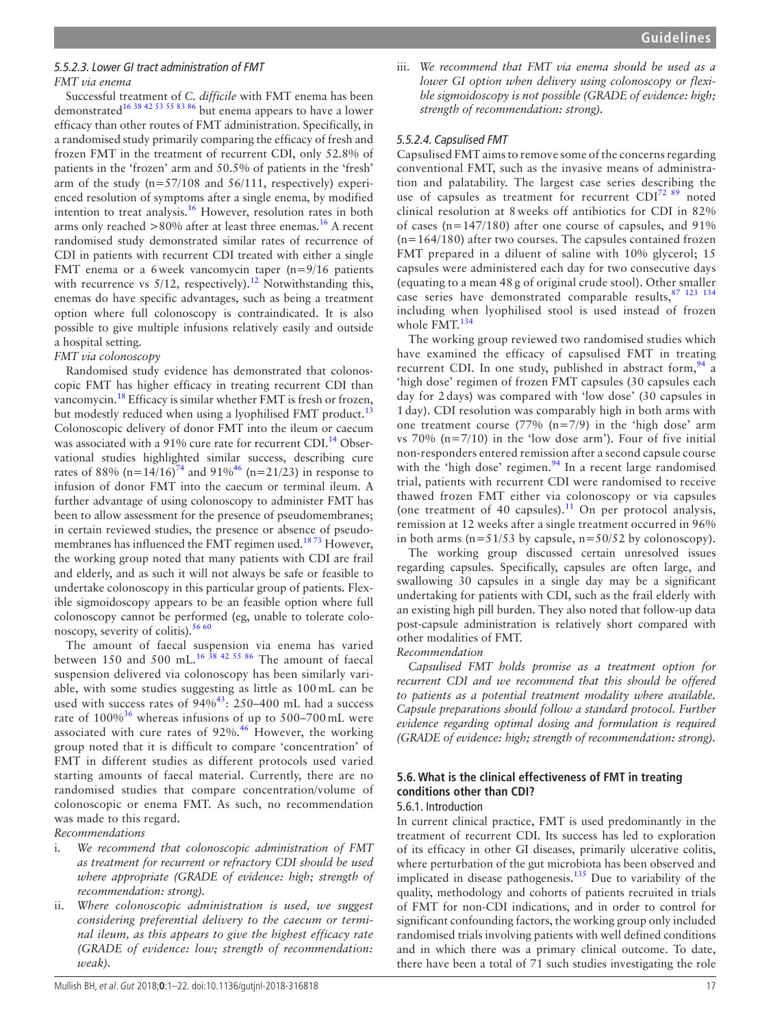#### *5.5.2.3. Lower GI tract administration of FMT FMT via enema*

Successful treatment of *C. difficile* with FMT enema has been demonstrated[16 38 42 53 55 83 86](#page-19-21) but enema appears to have a lower efficacy than other routes of FMT administration. Specifically, in a randomised study primarily comparing the efficacy of fresh and frozen FMT in the treatment of recurrent CDI, only 52.8% of patients in the 'frozen' arm and 50.5% of patients in the 'fresh' arm of the study (n=57/108 and 56/111, respectively) experienced resolution of symptoms after a single enema, by modified intention to treat analysis.[16](#page-19-21) However, resolution rates in both arms only reached  $>80\%$  after at least three enemas.<sup>[16](#page-19-21)</sup> A recent randomised study demonstrated similar rates of recurrence of CDI in patients with recurrent CDI treated with either a single FMT enema or a 6week vancomycin taper (n=9/16 patients with recurrence vs  $5/12$ , respectively).<sup>12</sup> Notwithstanding this, enemas do have specific advantages, such as being a treatment option where full colonoscopy is contraindicated. It is also possible to give multiple infusions relatively easily and outside a hospital setting.

#### *FMT via colonoscopy*

Randomised study evidence has demonstrated that colonoscopic FMT has higher efficacy in treating recurrent CDI than vancomycin.<sup>[18](#page-19-24)</sup> Efficacy is similar whether FMT is fresh or frozen, but modestly reduced when using a lyophilised FMT product.<sup>[13](#page-19-18)</sup> Colonoscopic delivery of donor FMT into the ileum or caecum was associated with a 91% cure rate for recurrent CDI.<sup>[14](#page-19-23)</sup> Observational studies highlighted similar success, describing cure rates of 88%  $(n=14/16)^{74}$  $(n=14/16)^{74}$  $(n=14/16)^{74}$  and 91%<sup>[46](#page-20-0)</sup> (n=21/23) in response to infusion of donor FMT into the caecum or terminal ileum. A further advantage of using colonoscopy to administer FMT has been to allow assessment for the presence of pseudomembranes; in certain reviewed studies, the presence or absence of pseudomembranes has influenced the FMT regimen used.<sup>1873</sup> However, the working group noted that many patients with CDI are frail and elderly, and as such it will not always be safe or feasible to undertake colonoscopy in this particular group of patients. Flexible sigmoidoscopy appears to be an feasible option where full colonoscopy cannot be performed (eg, unable to tolerate colonoscopy, severity of colitis). $5660$ 

The amount of faecal suspension via enema has varied between 150 and 500 mL.<sup>[16 38 42 55 86](#page-19-21)</sup> The amount of faecal suspension delivered via colonoscopy has been similarly variable, with some studies suggesting as little as 100 mL can be used with success rates of 94%<sup>[43](#page-20-6)</sup>: 250–400 mL had a success rate of  $100\%^{36}$  whereas infusions of up to 500-700 mL were associated with cure rates of  $92\%$ .<sup>[46](#page-20-0)</sup> However, the working group noted that it is difficult to compare 'concentration' of FMT in different studies as different protocols used varied starting amounts of faecal material. Currently, there are no randomised studies that compare concentration/volume of colonoscopic or enema FMT. As such, no recommendation was made to this regard.

### *Recommendations*

- i. *We recommend that colonoscopic administration of FMT as treatment for recurrent or refractory CDI should be used where appropriate (GRADE of evidence: high; strength of recommendation: strong).*
- ii. *Where colonoscopic administration is used, we suggest considering preferential delivery to the caecum or terminal ileum, as this appears to give the highest efficacy rate (GRADE of evidence: low; strength of recommendation: weak).*

iii. *We recommend that FMT via enema should be used as a lower GI option when delivery using colonoscopy or flexible sigmoidoscopy is not possible (GRADE of evidence: high; strength of recommendation: strong).*

#### *5.5.2.4. Capsulised FMT*

Capsulised FMT aims to remove some of the concerns regarding conventional FMT, such as the invasive means of administration and palatability. The largest case series describing the use of capsules as treatment for recurrent CDI<sup>[72 89](#page-20-24)</sup> noted clinical resolution at 8 weeks off antibiotics for CDI in 82% of cases (n=147/180) after one course of capsules, and 91%  $(n=164/180)$  after two courses. The capsules contained frozen FMT prepared in a diluent of saline with 10% glycerol; 15 capsules were administered each day for two consecutive days (equating to a mean 48 g of original crude stool). Other smaller case series have demonstrated comparable results, [87 123 134](#page-20-43) including when lyophilised stool is used instead of frozen whole  $FMT<sup>134</sup>$  $FMT<sup>134</sup>$  $FMT<sup>134</sup>$ 

The working group reviewed two randomised studies which have examined the efficacy of capsulised FMT in treating recurrent CDI. In one study, published in abstract form,  $94$  a 'high dose' regimen of frozen FMT capsules (30 capsules each day for 2 days) was compared with 'low dose' (30 capsules in 1 day). CDI resolution was comparably high in both arms with one treatment course  $(77\% (n=7/9))$  in the 'high dose' arm vs  $70\%$  (n=7/10) in the 'low dose arm'). Four of five initial non-responders entered remission after a second capsule course with the 'high dose' regimen. $94$  In a recent large randomised trial, patients with recurrent CDI were randomised to receive thawed frozen FMT either via colonoscopy or via capsules (one treatment of 40 capsules).<sup>11</sup> On per protocol analysis, remission at 12 weeks after a single treatment occurred in 96% in both arms ( $n=51/53$  by capsule,  $n=50/52$  by colonoscopy).

The working group discussed certain unresolved issues regarding capsules. Specifically, capsules are often large, and swallowing 30 capsules in a single day may be a significant undertaking for patients with CDI, such as the frail elderly with an existing high pill burden. They also noted that follow-up data post-capsule administration is relatively short compared with other modalities of FMT.

#### *Recommendation*

*Capsulised FMT holds promise as a treatment option for recurrent CDI and we recommend that this should be offered to patients as a potential treatment modality where available. Capsule preparations should follow a standard protocol. Further evidence regarding optimal dosing and formulation is required (GRADE of evidence: high; strength of recommendation: strong).*

# **5.6. What is the clinical effectiveness of FMT in treating conditions other than CDI?**

# 5.6.1. Introduction

In current clinical practice, FMT is used predominantly in the treatment of recurrent CDI. Its success has led to exploration of its efficacy in other GI diseases, primarily ulcerative colitis, where perturbation of the gut microbiota has been observed and implicated in disease pathogenesis. $135$  Due to variability of the quality, methodology and cohorts of patients recruited in trials of FMT for non-CDI indications, and in order to control for significant confounding factors, the working group only included randomised trials involving patients with well defined conditions and in which there was a primary clinical outcome. To date, there have been a total of 71 such studies investigating the role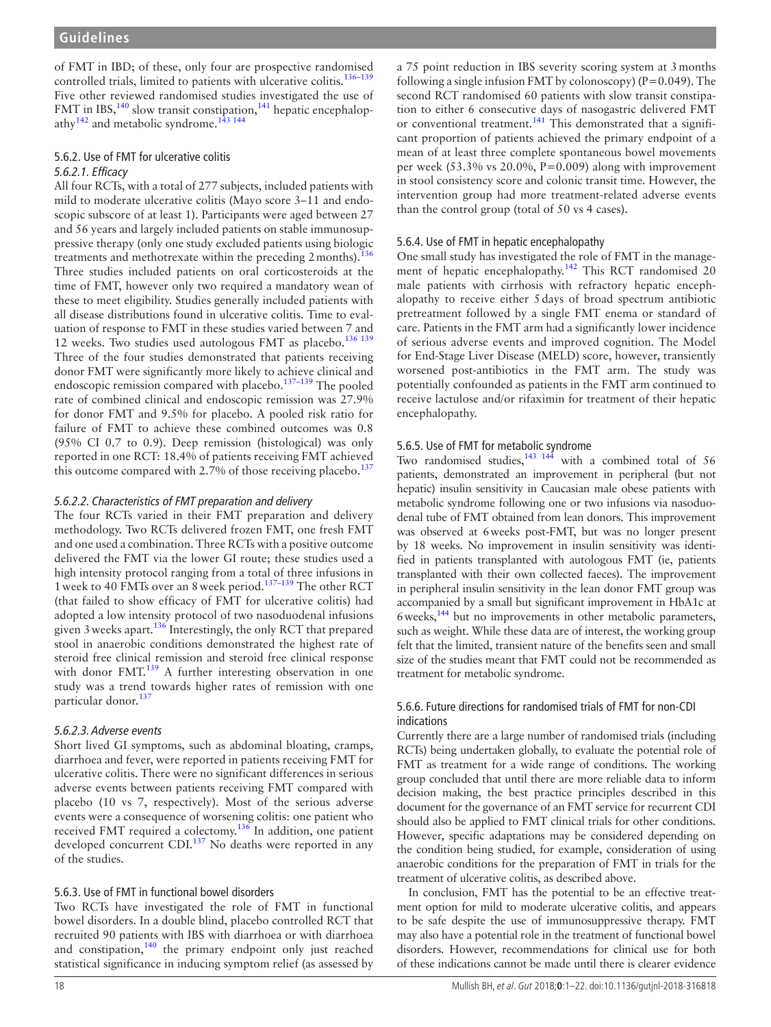of FMT in IBD; of these, only four are prospective randomised controlled trials, limited to patients with ulcerative colitis.<sup>136-139</sup> Five other reviewed randomised studies investigated the use of FMT in IBS,  $^{140}$  slow transit constipation,  $^{141}$  hepatic encephalopathy $142$  and metabolic syndrome.<sup>143 144</sup>

# 5.6.2. Use of FMT for ulcerative colitis

### *5.6.2.1. Efficacy*

All four RCTs, with a total of 277 subjects, included patients with mild to moderate ulcerative colitis (Mayo score 3–11 and endoscopic subscore of at least 1). Participants were aged between 27 and 56 years and largely included patients on stable immunosuppressive therapy (only one study excluded patients using biologic treatments and methotrexate within the preceding  $2$  months).<sup>[136](#page-21-21)</sup> Three studies included patients on oral corticosteroids at the time of FMT, however only two required a mandatory wean of these to meet eligibility. Studies generally included patients with all disease distributions found in ulcerative colitis. Time to evaluation of response to FMT in these studies varied between 7 and 12 weeks. Two studies used autologous FMT as placebo.<sup>136</sup><sup>139</sup> Three of the four studies demonstrated that patients receiving donor FMT were significantly more likely to achieve clinical and endoscopic remission compared with placebo.<sup>137-139</sup> The pooled rate of combined clinical and endoscopic remission was 27.9% for donor FMT and 9.5% for placebo. A pooled risk ratio for failure of FMT to achieve these combined outcomes was 0.8 (95% CI 0.7 to 0.9). Deep remission (histological) was only reported in one RCT: 18.4% of patients receiving FMT achieved this outcome compared with 2.7% of those receiving placebo. $137$ 

#### *5.6.2.2. Characteristics of FMT preparation and delivery*

The four RCTs varied in their FMT preparation and delivery methodology. Two RCTs delivered frozen FMT, one fresh FMT and one used a combination. Three RCTs with a positive outcome delivered the FMT via the lower GI route; these studies used a high intensity protocol ranging from a total of three infusions in 1week to 40 FMTs over an 8week period.[137–139](#page-21-26) The other RCT (that failed to show efficacy of FMT for ulcerative colitis) had adopted a low intensity protocol of two nasoduodenal infusions given 3 weeks apart.<sup>[136](#page-21-21)</sup> Interestingly, the only RCT that prepared stool in anaerobic conditions demonstrated the highest rate of steroid free clinical remission and steroid free clinical response with donor FMT.<sup>139</sup> A further interesting observation in one study was a trend towards higher rates of remission with one particular donor.<sup>[137](#page-21-26)</sup>

#### *5.6.2.3. Adverse events*

Short lived GI symptoms, such as abdominal bloating, cramps, diarrhoea and fever, were reported in patients receiving FMT for ulcerative colitis. There were no significant differences in serious adverse events between patients receiving FMT compared with placebo (10 vs 7, respectively). Most of the serious adverse events were a consequence of worsening colitis: one patient who received FMT required a colectomy.<sup>[136](#page-21-21)</sup> In addition, one patient developed concurrent CDI.<sup>137</sup> No deaths were reported in any of the studies.

#### 5.6.3. Use of FMT in functional bowel disorders

Two RCTs have investigated the role of FMT in functional bowel disorders. In a double blind, placebo controlled RCT that recruited 90 patients with IBS with diarrhoea or with diarrhoea and constipation, $140$  the primary endpoint only just reached statistical significance in inducing symptom relief (as assessed by

a 75 point reduction in IBS severity scoring system at 3months following a single infusion FMT by colonoscopy) ( $P=0.049$ ). The second RCT randomised 60 patients with slow transit constipation to either 6 consecutive days of nasogastric delivered FMT or conventional treatment.<sup>[141](#page-21-23)</sup> This demonstrated that a significant proportion of patients achieved the primary endpoint of a mean of at least three complete spontaneous bowel movements per week (53.3% vs 20.0%, P=0.009) along with improvement in stool consistency score and colonic transit time. However, the intervention group had more treatment-related adverse events than the control group (total of 50 vs 4 cases).

#### 5.6.4. Use of FMT in hepatic encephalopathy

One small study has investigated the role of FMT in the management of hepatic encephalopathy.<sup>142</sup> This RCT randomised 20 male patients with cirrhosis with refractory hepatic encephalopathy to receive either 5days of broad spectrum antibiotic pretreatment followed by a single FMT enema or standard of care. Patients in the FMT arm had a significantly lower incidence of serious adverse events and improved cognition. The Model for End-Stage Liver Disease (MELD) score, however, transiently worsened post-antibiotics in the FMT arm. The study was potentially confounded as patients in the FMT arm continued to receive lactulose and/or rifaximin for treatment of their hepatic encephalopathy.

### 5.6.5. Use of FMT for metabolic syndrome

Two randomised studies,  $143 \frac{144}{144}$  with a combined total of 56 patients, demonstrated an improvement in peripheral (but not hepatic) insulin sensitivity in Caucasian male obese patients with metabolic syndrome following one or two infusions via nasoduodenal tube of FMT obtained from lean donors. This improvement was observed at 6weeks post-FMT, but was no longer present by 18 weeks. No improvement in insulin sensitivity was identified in patients transplanted with autologous FMT (ie, patients transplanted with their own collected faeces). The improvement in peripheral insulin sensitivity in the lean donor FMT group was accompanied by a small but significant improvement in HbA1c at 6weeks,[144](#page-21-28) but no improvements in other metabolic parameters, such as weight. While these data are of interest, the working group felt that the limited, transient nature of the benefits seen and small size of the studies meant that FMT could not be recommended as treatment for metabolic syndrome.

# 5.6.6. Future directions for randomised trials of FMT for non-CDI indications

Currently there are a large number of randomised trials (including RCTs) being undertaken globally, to evaluate the potential role of FMT as treatment for a wide range of conditions. The working group concluded that until there are more reliable data to inform decision making, the best practice principles described in this document for the governance of an FMT service for recurrent CDI should also be applied to FMT clinical trials for other conditions. However, specific adaptations may be considered depending on the condition being studied, for example, consideration of using anaerobic conditions for the preparation of FMT in trials for the treatment of ulcerative colitis, as described above.

In conclusion, FMT has the potential to be an effective treatment option for mild to moderate ulcerative colitis, and appears to be safe despite the use of immunosuppressive therapy. FMT may also have a potential role in the treatment of functional bowel disorders. However, recommendations for clinical use for both of these indications cannot be made until there is clearer evidence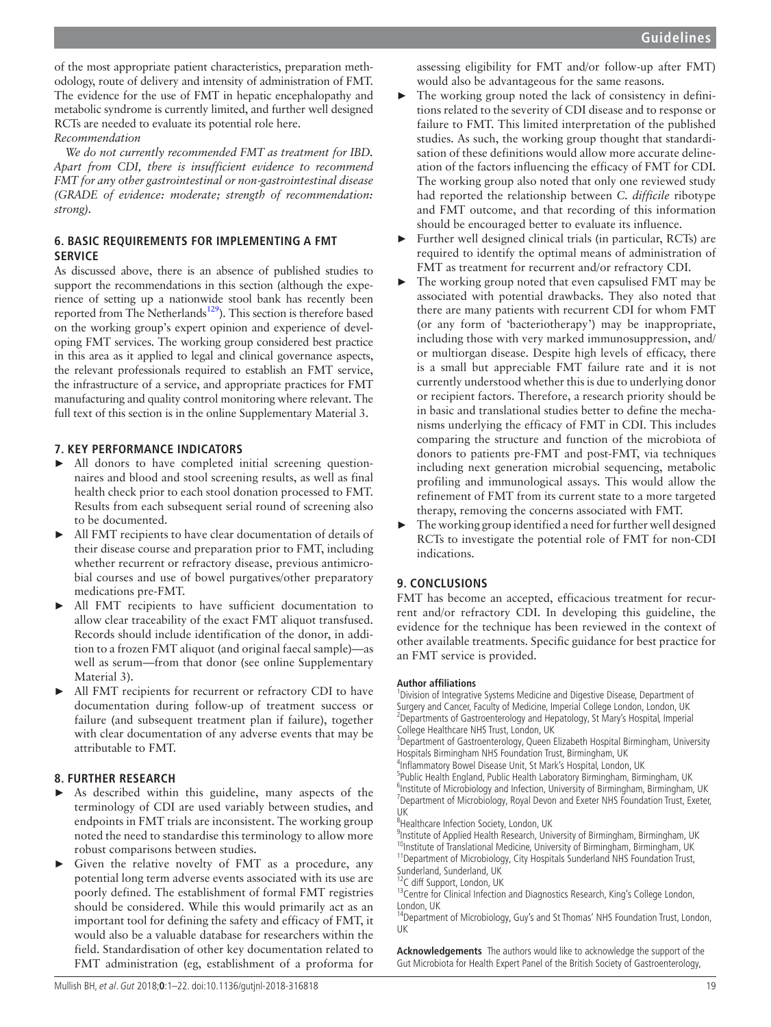of the most appropriate patient characteristics, preparation methodology, route of delivery and intensity of administration of FMT. The evidence for the use of FMT in hepatic encephalopathy and metabolic syndrome is currently limited, and further well designed RCTs are needed to evaluate its potential role here.

*Recommendation*

*We do not currently recommended FMT as treatment for IBD. Apart from CDI, there is insufficient evidence to recommend FMT for any other gastrointestinal or non-gastrointestinal disease (GRADE of evidence: moderate; strength of recommendation: strong).*

# **6. Basic requirements for implementing a FMT service**

As discussed above, there is an absence of published studies to support the recommendations in this section (although the experience of setting up a nationwide stool bank has recently been reported from The Netherlands<sup>[129](#page-21-14)</sup>). This section is therefore based on the working group's expert opinion and experience of developing FMT services. The working group considered best practice in this area as it applied to legal and clinical governance aspects, the relevant professionals required to establish an FMT service, the infrastructure of a service, and appropriate practices for FMT manufacturing and quality control monitoring where relevant. The full text of this section is in the online [Supplementary Material 3](https://dx.doi.org/10.1136/gutjnl-2018-316818).

# **7. Key performance indicators**

- All donors to have completed initial screening questionnaires and blood and stool screening results, as well as final health check prior to each stool donation processed to FMT. Results from each subsequent serial round of screening also to be documented.
- All FMT recipients to have clear documentation of details of their disease course and preparation prior to FMT, including whether recurrent or refractory disease, previous antimicrobial courses and use of bowel purgatives/other preparatory medications pre-FMT.
- ► All FMT recipients to have sufficient documentation to allow clear traceability of the exact FMT aliquot transfused. Records should include identification of the donor, in addition to a frozen FMT aliquot (and original faecal sample)—as well as serum—from that donor (see online [Supplementary](https://dx.doi.org/10.1136/gutjnl-2018-316818)  [Material 3\)](https://dx.doi.org/10.1136/gutjnl-2018-316818).
- ► All FMT recipients for recurrent or refractory CDI to have documentation during follow-up of treatment success or failure (and subsequent treatment plan if failure), together with clear documentation of any adverse events that may be attributable to FMT.

# **8. Further research**

- As described within this guideline, many aspects of the terminology of CDI are used variably between studies, and endpoints in FMT trials are inconsistent. The working group noted the need to standardise this terminology to allow more robust comparisons between studies.
- Given the relative novelty of FMT as a procedure, any potential long term adverse events associated with its use are poorly defined. The establishment of formal FMT registries should be considered. While this would primarily act as an important tool for defining the safety and efficacy of FMT, it would also be a valuable database for researchers within the field. Standardisation of other key documentation related to FMT administration (eg, establishment of a proforma for

would also be advantageous for the same reasons.  $\blacktriangleright$  The working group noted the lack of consistency in defini-

tions related to the severity of CDI disease and to response or failure to FMT. This limited interpretation of the published studies. As such, the working group thought that standardisation of these definitions would allow more accurate delineation of the factors influencing the efficacy of FMT for CDI. The working group also noted that only one reviewed study had reported the relationship between *C. difficile* ribotype and FMT outcome, and that recording of this information should be encouraged better to evaluate its influence.

assessing eligibility for FMT and/or follow-up after FMT)

- Further well designed clinical trials (in particular, RCTs) are required to identify the optimal means of administration of FMT as treatment for recurrent and/or refractory CDI.
- The working group noted that even capsulised FMT may be associated with potential drawbacks. They also noted that there are many patients with recurrent CDI for whom FMT (or any form of 'bacteriotherapy') may be inappropriate, including those with very marked immunosuppression, and/ or multiorgan disease. Despite high levels of efficacy, there is a small but appreciable FMT failure rate and it is not currently understood whether this is due to underlying donor or recipient factors. Therefore, a research priority should be in basic and translational studies better to define the mechanisms underlying the efficacy of FMT in CDI. This includes comparing the structure and function of the microbiota of donors to patients pre-FMT and post-FMT, via techniques including next generation microbial sequencing, metabolic profiling and immunological assays. This would allow the refinement of FMT from its current state to a more targeted therapy, removing the concerns associated with FMT.
- The working group identified a need for further well designed RCTs to investigate the potential role of FMT for non-CDI indications.

### **9. Conclusions**

FMT has become an accepted, efficacious treatment for recurrent and/or refractory CDI. In developing this guideline, the evidence for the technique has been reviewed in the context of other available treatments. Specific guidance for best practice for an FMT service is provided.

#### **Author affiliations**

<sup>1</sup>Division of Integrative Systems Medicine and Digestive Disease, Department of Surgery and Cancer, Faculty of Medicine, Imperial College London, London, UK 2 Departments of Gastroenterology and Hepatology, St Mary's Hospital, Imperial College Healthcare NHS Trust, London, UK

<sup>3</sup>Department of Gastroenterology, Queen Elizabeth Hospital Birmingham, University Hospitals Birmingham NHS Foundation Trust, Birmingham, UK

4 Inflammatory Bowel Disease Unit, St Mark's Hospital, London, UK

<sup>5</sup>Public Health England, Public Health Laboratory Birmingham, Birmingham, UK <sup>6</sup>Institute of Microbiology and Infection, University of Birmingham, Birmingham, UK <sup>7</sup>Department of Microbiology, Royal Devon and Exeter NHS Foundation Trust, Exeter, UK

<sup>8</sup>Healthcare Infection Society, London, UK

<sup>9</sup>Institute of Applied Health Research, University of Birmingham, Birmingham, UK  $10$ Institute of Translational Medicine, University of Birmingham, Birmingham, UK <sup>11</sup> Department of Microbiology, City Hospitals Sunderland NHS Foundation Trust,

Sunderland, Sunderland, UK 12C diff Support, London, UK

<sup>13</sup> Centre for Clinical Infection and Diagnostics Research, King's College London, London, UK

<sup>14</sup>Department of Microbiology, Guy's and St Thomas' NHS Foundation Trust, London, UK

**Acknowledgements** The authors would like to acknowledge the support of the Gut Microbiota for Health Expert Panel of the British Society of Gastroenterology,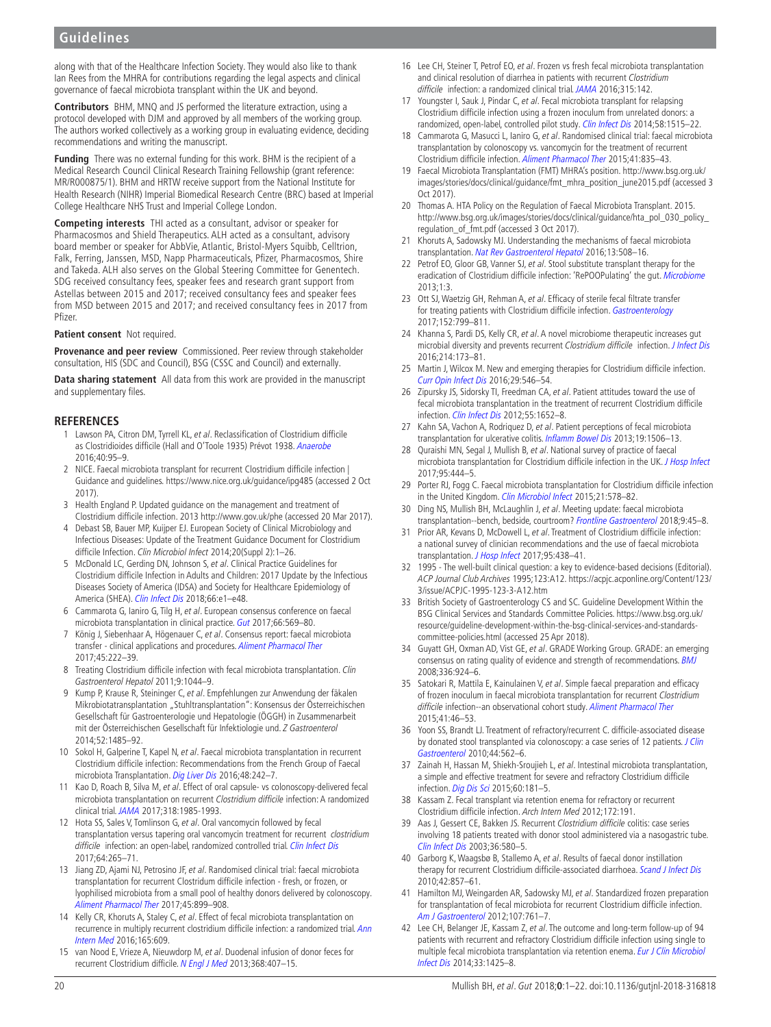along with that of the Healthcare Infection Society. They would also like to thank Ian Rees from the MHRA for contributions regarding the legal aspects and clinical governance of faecal microbiota transplant within the UK and beyond.

**Contributors** BHM, MNQ and JS performed the literature extraction, using a protocol developed with DJM and approved by all members of the working group. The authors worked collectively as a working group in evaluating evidence, deciding recommendations and writing the manuscript.

**Funding** There was no external funding for this work. BHM is the recipient of a Medical Research Council Clinical Research Training Fellowship (grant reference: MR/R000875/1). BHM and HRTW receive support from the National Institute for Health Research (NIHR) Imperial Biomedical Research Centre (BRC) based at Imperial College Healthcare NHS Trust and Imperial College London.

**Competing interests** THI acted as a consultant, advisor or speaker for Pharmacosmos and Shield Therapeutics. ALH acted as a consultant, advisory board member or speaker for AbbVie, Atlantic, Bristol-Myers Squibb, Celltrion, Falk, Ferring, Janssen, MSD, Napp Pharmaceuticals, Pfizer, Pharmacosmos, Shire and Takeda. ALH also serves on the Global Steering Committee for Genentech. SDG received consultancy fees, speaker fees and research grant support from Astellas between 2015 and 2017; received consultancy fees and speaker fees from MSD between 2015 and 2017; and received consultancy fees in 2017 from Pfizer.

#### **Patient consent** Not required.

**Provenance and peer review** Commissioned. Peer review through stakeholder consultation, HIS (SDC and Council), BSG (CSSC and Council) and externally.

**Data sharing statement** All data from this work are provided in the manuscript and supplementary files.

### **References**

- <span id="page-19-0"></span>1 Lawson PA, Citron DM, Tyrrell KL, et al. Reclassification of Clostridium difficile as Clostridioides difficile (Hall and O'Toole 1935) Prévot 1938. [Anaerobe](http://dx.doi.org/10.1016/j.anaerobe.2016.06.008) 2016;40:95–9.
- <span id="page-19-1"></span>2 NICE. Faecal microbiota transplant for recurrent Clostridium difficile infection I Guidance and guidelines.<https://www.nice.org.uk/guidance/ipg485> (accessed 2 Oct 2017).
- <span id="page-19-2"></span>3 Health England P. Updated guidance on the management and treatment of Clostridium difficile infection. 2013<http://www.gov.uk/phe>(accessed 20 Mar 2017).
- 4 Debast SB, Bauer MP, Kuijper EJ. European Society of Clinical Microbiology and Infectious Diseases: Update of the Treatment Guidance Document for Clostridium difficile Infection. Clin Microbiol Infect 2014;20(Suppl 2):1–26.
- 5 McDonald LC, Gerding DN, Johnson S, et al. Clinical Practice Guidelines for Clostridium difficile Infection in Adults and Children: 2017 Update by the Infectious Diseases Society of America (IDSA) and Society for Healthcare Epidemiology of America (SHEA). [Clin Infect Dis](http://dx.doi.org/10.1093/cid/cix1085) 2018;66:e1–e48.
- <span id="page-19-3"></span>6 Cammarota G, Ianiro G, Tilg H, et al. European consensus conference on faecal microbiota transplantation in clinical practice. [Gut](http://dx.doi.org/10.1136/gutjnl-2016-313017) 2017;66:569–80.
- 7 König J, Siebenhaar A, Högenauer C, et al. Consensus report: faecal microbiota transfer - clinical applications and procedures. [Aliment Pharmacol Ther](http://dx.doi.org/10.1111/apt.13868) 2017;45:222–39.
- <span id="page-19-4"></span>8 Treating Clostridium difficile infection with fecal microbiota transplantation. Clin Gastroenterol Hepatol 2011;9:1044–9.
- 9 Kump P, Krause R, Steininger C, et al. Empfehlungen zur Anwendung der fäkalen Mikrobiotatransplantation "Stuhltransplantation": Konsensus der Österreichischen Gesellschaft für Gastroenterologie und Hepatologie (ÖGGH) in Zusammenarbeit mit der Österreichischen Gesellschaft für Infektiologie und. Z Gastroenterol 2014;52:1485–92.
- 10 Sokol H, Galperine T, Kapel N, et al. Faecal microbiota transplantation in recurrent Clostridium difficile infection: Recommendations from the French Group of Faecal microbiota Transplantation. [Dig Liver Dis](http://dx.doi.org/10.1016/j.dld.2015.08.017) 2016;48:242-7.
- <span id="page-19-5"></span>11 Kao D, Roach B, Silva M, et al. Effect of oral capsule- vs colonoscopy-delivered fecal microbiota transplantation on recurrent Clostridium difficile infection: A randomized clinical trial. [JAMA](http://dx.doi.org/10.1001/jama.2017.17077) 2017;318:1985-1993.
- <span id="page-19-17"></span>12 Hota SS, Sales V, Tomlinson G, et al. Oral vancomycin followed by fecal transplantation versus tapering oral vancomycin treatment for recurrent clostridium difficile infection: an open-label, randomized controlled trial. [Clin Infect Dis](http://dx.doi.org/10.1093/cid/ciw731) 2017;64:265–71.
- <span id="page-19-18"></span>13 Jiang ZD, Ajami NJ, Petrosino JF, et al. Randomised clinical trial: faecal microbiota transplantation for recurrent Clostridum difficile infection - fresh, or frozen, or lyophilised microbiota from a small pool of healthy donors delivered by colonoscopy. [Aliment Pharmacol Ther](http://dx.doi.org/10.1111/apt.13969) 2017;45:899–908.
- <span id="page-19-23"></span>14 Kelly CR, Khoruts A, Staley C, et al. Effect of fecal microbiota transplantation on recurrence in multiply recurrent clostridium difficile infection: a randomized trial. Ann [Intern Med](http://dx.doi.org/10.7326/M16-0271) 2016;165:609.
- <span id="page-19-28"></span>15 van Nood E, Vrieze A, Nieuwdorp M, et al. Duodenal infusion of donor feces for recurrent Clostridium difficile. [N Engl J Med](http://dx.doi.org/10.1056/NEJMoa1205037) 2013;368:407–15.
- <span id="page-19-21"></span>16 Lee CH, Steiner T, Petrof EO, et al. Frozen vs fresh fecal microbiota transplantation and clinical resolution of diarrhea in patients with recurrent Clostridium difficile infection: a randomized clinical trial. [JAMA](http://dx.doi.org/10.1001/jama.2015.18098) 2016;315:142.
- <span id="page-19-20"></span>17 Youngster I, Sauk J, Pindar C, et al. Fecal microbiota transplant for relapsing Clostridium difficile infection using a frozen inoculum from unrelated donors: a randomized, open-label, controlled pilot study. [Clin Infect Dis](http://dx.doi.org/10.1093/cid/ciu135) 2014;58:1515-22.
- <span id="page-19-24"></span>18 Cammarota G, Masucci L, Ianiro G, et al. Randomised clinical trial: faecal microbiota transplantation by colonoscopy vs. vancomycin for the treatment of recurrent Clostridium difficile infection. [Aliment Pharmacol Ther](http://dx.doi.org/10.1111/apt.13144) 2015;41:835–43.
- <span id="page-19-6"></span>19 Faecal Microbiota Transplantation (FMT) MHRA's position. [http://www.bsg.org.uk/](http://www.bsg.org.uk/images/stories/docs/clinical/guidance/fmt_mhra_position_june2015.pdf) [images/stories/docs/clinical/guidance/fmt\\_mhra\\_position\\_june2015.pdf](http://www.bsg.org.uk/images/stories/docs/clinical/guidance/fmt_mhra_position_june2015.pdf) (accessed 3 Oct 2017).
- 20 Thomas A. HTA Policy on the Regulation of Faecal Microbiota Transplant. 2015. [http://www.bsg.org.uk/images/stories/docs/clinical/guidance/hta\\_pol\\_030\\_policy\\_](http://www.bsg.org.uk/images/stories/docs/clinical/guidance/hta_pol_030_policy_regulation_of_fmt.pdf) [regulation\\_of\\_fmt.pdf](http://www.bsg.org.uk/images/stories/docs/clinical/guidance/hta_pol_030_policy_regulation_of_fmt.pdf) (accessed 3 Oct 2017).
- <span id="page-19-7"></span>21 Khoruts A, Sadowsky MJ. Understanding the mechanisms of faecal microbiota transplantation. [Nat Rev Gastroenterol Hepatol](http://dx.doi.org/10.1038/nrgastro.2016.98) 2016;13:508-16.
- <span id="page-19-8"></span>22 Petrof EO, Gloor GB, Vanner SJ, et al. Stool substitute transplant therapy for the eradication of Clostridium difficile infection: 'RePOOPulating' the gut. [Microbiome](http://dx.doi.org/10.1186/2049-2618-1-3) 2013;1:3.
- <span id="page-19-9"></span>23 Ott SJ, Waetzig GH, Rehman A, et al. Efficacy of sterile fecal filtrate transfer for treating patients with Clostridium difficile infection. [Gastroenterology](http://dx.doi.org/10.1053/j.gastro.2016.11.010) 2017;152:799–811.
- <span id="page-19-10"></span>24 Khanna S, Pardi DS, Kelly CR, et al. A novel microbiome therapeutic increases gut microbial diversity and prevents recurrent Clostridium difficile infection. [J Infect Dis](http://dx.doi.org/10.1093/infdis/jiv766) 2016;214:173–81.
- <span id="page-19-11"></span>25 Martin J, Wilcox M. New and emerging therapies for Clostridium difficile infection. [Curr Opin Infect Dis](http://dx.doi.org/10.1097/QCO.0000000000000320) 2016;29:546–54.
- 26 Zipursky JS, Sidorsky TI, Freedman CA, et al. Patient attitudes toward the use of fecal microbiota transplantation in the treatment of recurrent Clostridium difficile infection. [Clin Infect Dis](http://dx.doi.org/10.1093/cid/cis809) 2012;55:1652-8.
- <span id="page-19-12"></span>27 Kahn SA, Vachon A, Rodriquez D, et al. Patient perceptions of fecal microbiota transplantation for ulcerative colitis. [Inflamm Bowel Dis](http://dx.doi.org/10.1097/MIB.0b013e318281f520) 2013;19:1506-13.
- <span id="page-19-13"></span>28 Quraishi MN, Segal J, Mullish B, et al. National survey of practice of faecal microbiota transplantation for Clostridium difficile infection in the UK. *[J Hosp Infect](http://dx.doi.org/10.1016/j.jhin.2016.10.023)* 2017;95:444–5.
- 29 Porter RJ, Fogg C. Faecal microbiota transplantation for Clostridium difficile infection in the United Kingdom. [Clin Microbiol Infect](http://dx.doi.org/10.1016/j.cmi.2015.01.020) 2015;21:578-82.
- 30 Ding NS, Mullish BH, McLaughlin J, et al. Meeting update: faecal microbiota transplantation--bench, bedside, courtroom? [Frontline Gastroenterol](http://dx.doi.org/10.1136/flgastro-2016-100752) 2018;9:45-8.
- 31 Prior AR, Kevans D, McDowell L, et al. Treatment of Clostridium difficile infection: a national survey of clinician recommendations and the use of faecal microbiota transplantation. [J Hosp Infect](http://dx.doi.org/10.1016/j.jhin.2016.10.004) 2017;95:438–41.
- <span id="page-19-14"></span>32 1995 - The well-built clinical question: a key to evidence-based decisions (Editorial). ACP Journal Club Archives 1995;123:A12. [https://acpjc.acponline.org/Content/123/](https://acpjc.acponline.org/Content/123/3/issue/ACPJC-1995-123-3-A12.htm) [3/issue/ACPJC-1995-123-3-A12.htm](https://acpjc.acponline.org/Content/123/3/issue/ACPJC-1995-123-3-A12.htm)
- <span id="page-19-15"></span>33 British Society of Gastroenterology CS and SC. Guideline Development Within the BSG Clinical Services and Standards Committee Policies. [https://www.bsg.org.uk/](https://www.bsg.org.uk/resource/guideline-development-within-the-bsg-clinical-services-and-standards-committee-policies.html) [resource/guideline-development-within-the-bsg-clinical-services-and-standards](https://www.bsg.org.uk/resource/guideline-development-within-the-bsg-clinical-services-and-standards-committee-policies.html)[committee-policies.html](https://www.bsg.org.uk/resource/guideline-development-within-the-bsg-clinical-services-and-standards-committee-policies.html) (accessed 25 Apr 2018).
- <span id="page-19-16"></span>34 Guyatt GH, Oxman AD, Vist GE, et al. GRADE Working Group. GRADE: an emerging consensus on rating quality of evidence and strength of recommendations. [BMJ](http://dx.doi.org/10.1136/bmj.39489.470347.AD) 2008;336:924–6.
- <span id="page-19-26"></span>35 Satokari R, Mattila E, Kainulainen V, et al. Simple faecal preparation and efficacy of frozen inoculum in faecal microbiota transplantation for recurrent Clostridium difficile infection--an observational cohort study. [Aliment Pharmacol Ther](http://dx.doi.org/10.1111/apt.13009) 2015;41:46–53.
- <span id="page-19-27"></span>36 Yoon SS, Brandt LJ. Treatment of refractory/recurrent C. difficile-associated disease by donated stool transplanted via colonoscopy: a case series of 12 patients. J Clin [Gastroenterol](http://dx.doi.org/10.1097/MCG.0b013e3181dac035) 2010;44:562–6.
- <span id="page-19-22"></span>37 Zainah H, Hassan M, Shiekh-Sroujieh L, et al. Intestinal microbiota transplantation, a simple and effective treatment for severe and refractory Clostridium difficile infection. *[Dig Dis Sci](http://dx.doi.org/10.1007/s10620-014-3296-y)* 2015;60:181-5.
- <span id="page-19-31"></span>38 Kassam Z. Fecal transplant via retention enema for refractory or recurrent Clostridium difficile infection. Arch Intern Med 2012;172:191.
- <span id="page-19-30"></span>39 Aas J, Gessert CE, Bakken JS. Recurrent Clostridium difficile colitis: case series involving 18 patients treated with donor stool administered via a nasogastric tube. [Clin Infect Dis](http://dx.doi.org/10.1086/367657) 2003;36:580–5.
- <span id="page-19-19"></span>40 Garborg K, Waagsbø B, Stallemo A, et al. Results of faecal donor instillation therapy for recurrent Clostridium difficile-associated diarrhoea. [Scand J Infect Dis](http://dx.doi.org/10.3109/00365548.2010.499541) 2010;42:857–61.
- <span id="page-19-29"></span>41 Hamilton MJ, Weingarden AR, Sadowsky MJ, et al. Standardized frozen preparation for transplantation of fecal microbiota for recurrent Clostridium difficile infection. [Am J Gastroenterol](http://dx.doi.org/10.1038/ajg.2011.482) 2012;107:761–7.
- <span id="page-19-25"></span>42 Lee CH, Belanger JE, Kassam Z, et al. The outcome and long-term follow-up of 94 patients with recurrent and refractory Clostridium difficile infection using single to multiple fecal microbiota transplantation via retention enema. Eur J Clin Microbiol [Infect Dis](http://dx.doi.org/10.1007/s10096-014-2088-9) 2014;33:1425–8.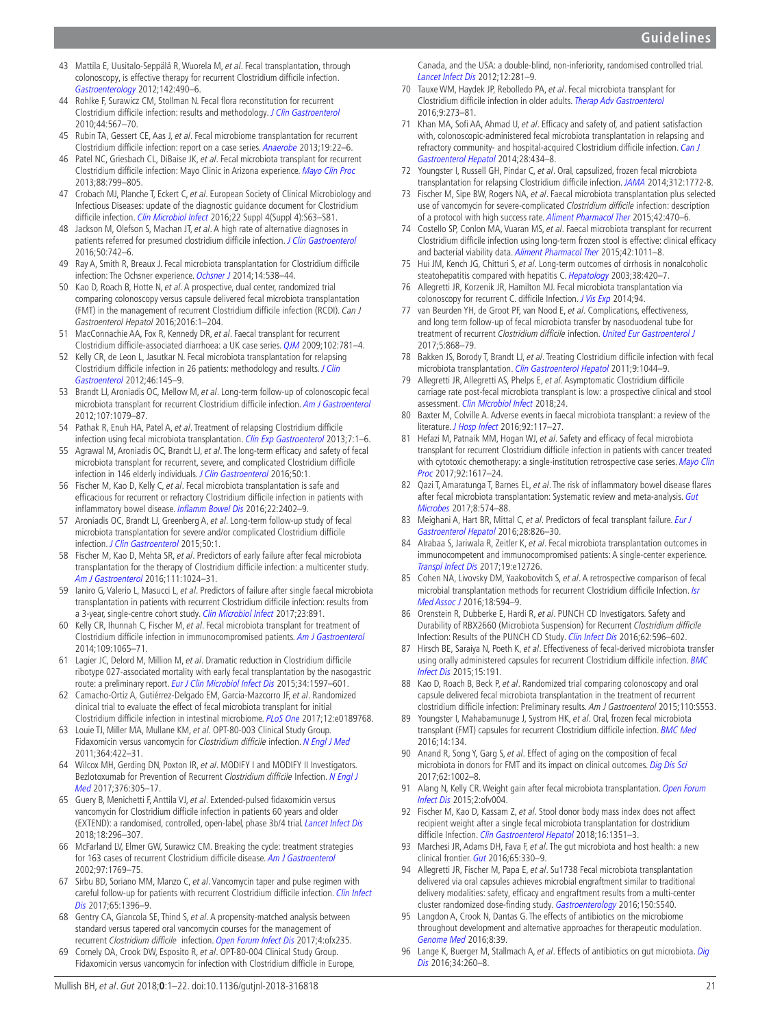- <span id="page-20-6"></span>43 Mattila E, Uusitalo-Seppälä R, Wuorela M, et al. Fecal transplantation, through colonoscopy, is effective therapy for recurrent Clostridium difficile infection. [Gastroenterology](http://dx.doi.org/10.1053/j.gastro.2011.11.037) 2012;142:490–6.
- 44 Rohlke F, Surawicz CM, Stollman N. Fecal flora reconstitution for recurrent Clostridium difficile infection: results and methodology. [J Clin Gastroenterol](http://dx.doi.org/10.1097/MCG.0b013e3181dadb10) 2010;44:567–70.
- <span id="page-20-19"></span>45 Rubin TA, Gessert CE, Aas J, et al. Fecal microbiome transplantation for recurrent Clostridium difficile infection: report on a case series. [Anaerobe](http://dx.doi.org/10.1016/j.anaerobe.2012.11.004) 2013;19:22–6.
- <span id="page-20-0"></span>46 Patel NC, Griesbach CL, DiBaise JK, et al. Fecal microbiota transplant for recurrent Clostridium difficile infection: Mayo Clinic in Arizona experience. [Mayo Clin Proc](http://dx.doi.org/10.1016/j.mayocp.2013.04.022) 2013;88:799–805.
- <span id="page-20-1"></span>47 Crobach MJ, Planche T, Eckert C, et al. European Society of Clinical Microbiology and Infectious Diseases: update of the diagnostic guidance document for Clostridium difficile infection. [Clin Microbiol Infect](http://dx.doi.org/10.1016/j.cmi.2016.03.010) 2016;22 Suppl 4(Suppl 4):S63-S81.
- <span id="page-20-2"></span>48 Jackson M, Olefson S, Machan JT, et al. A high rate of alternative diagnoses in patients referred for presumed clostridium difficile infection. [J Clin Gastroenterol](http://dx.doi.org/10.1097/MCG.0000000000000447) 2016;50:742–6.
- <span id="page-20-20"></span>49 Ray A, Smith R, Breaux J. Fecal microbiota transplantation for Clostridium difficile infection: The Ochsner experience. [Ochsner J](http://www.ncbi.nlm.nih.gov/pubmed/25598718) 2014;14:538-44.
- <span id="page-20-32"></span>50 Kao D, Roach B, Hotte N, et al. A prospective, dual center, randomized trial comparing colonoscopy versus capsule delivered fecal microbiota transplantation (FMT) in the management of recurrent Clostridium difficile infection (RCDI). Can J Gastroenterol Hepatol 2016;2016:1–204.
- <span id="page-20-23"></span>51 MacConnachie AA, Fox R, Kennedy DR, et al. Faecal transplant for recurrent Clostridium difficile-associated diarrhoea: a UK case series. [QJM](http://dx.doi.org/10.1093/qjmed/hcp118) 2009;102:781–4.
- <span id="page-20-3"></span>52 Kelly CR, de Leon L, Jasutkar N. Fecal microbiota transplantation for relapsing Clostridium difficile infection in 26 patients: methodology and results. [J Clin](http://dx.doi.org/10.1097/MCG.0b013e318234570b)  [Gastroenterol](http://dx.doi.org/10.1097/MCG.0b013e318234570b) 2012;46:145–9.
- <span id="page-20-25"></span>53 Brandt LJ, Aroniadis OC, Mellow M, et al. Long-term follow-up of colonoscopic fecal microbiota transplant for recurrent Clostridium difficile infection. [Am J Gastroenterol](http://dx.doi.org/10.1038/ajg.2012.60) 2012;107:1079–87.
- <span id="page-20-4"></span>54 Pathak R, Enuh HA, Patel A, et al. Treatment of relapsing Clostridium difficile infection using fecal microbiota transplantation. [Clin Exp Gastroenterol](http://dx.doi.org/10.2147/CEG.S53410) 2013;7:1-6.
- <span id="page-20-5"></span>55 Agrawal M, Aroniadis OC, Brandt LJ, et al. The long-term efficacy and safety of fecal microbiota transplant for recurrent, severe, and complicated Clostridium difficile infection in 146 elderly individuals. [J Clin Gastroenterol](http://dx.doi.org/10.1097/MCG.0000000000000410) 2016;50:1.
- <span id="page-20-41"></span>56 Fischer M, Kao D, Kelly C, et al. Fecal microbiota transplantation is safe and efficacious for recurrent or refractory Clostridium difficile infection in patients with inflammatory bowel disease. [Inflamm Bowel Dis](http://dx.doi.org/10.1097/MIB.0000000000000908) 2016;22:2402-9.
- <span id="page-20-7"></span>57 Aroniadis OC, Brandt LJ, Greenberg A, et al. Long-term follow-up study of fecal microbiota transplantation for severe and/or complicated Clostridium difficile infection. [J Clin Gastroenterol](http://dx.doi.org/10.1097/MCG.0000000000000374) 2015;50:1.
- <span id="page-20-8"></span>58 Fischer M, Kao D, Mehta SR, et al. Predictors of early failure after fecal microbiota transplantation for the therapy of Clostridium difficile infection: a multicenter study. [Am J Gastroenterol](http://dx.doi.org/10.1038/ajg.2016.180) 2016;111:1024–31.
- <span id="page-20-9"></span>59 Ianiro G, Valerio L, Masucci L, et al. Predictors of failure after single faecal microbiota transplantation in patients with recurrent Clostridium difficile infection: results from a 3-year, single-centre cohort study. [Clin Microbiol Infect](http://dx.doi.org/10.1016/j.cmi.2017.05.005) 2017;23:891.
- <span id="page-20-21"></span>60 Kelly CR, Ihunnah C, Fischer M, et al. Fecal microbiota transplant for treatment of Clostridium difficile infection in immunocompromised patients. [Am J Gastroenterol](http://dx.doi.org/10.1038/ajg.2014.133) 2014;109:1065–71.
- <span id="page-20-10"></span>61 Lagier JC, Delord M, Million M, et al. Dramatic reduction in Clostridium difficile ribotype 027-associated mortality with early fecal transplantation by the nasogastric route: a preliminary report. [Eur J Clin Microbiol Infect Dis](http://dx.doi.org/10.1007/s10096-015-2394-x) 2015;34:1597-601.
- <span id="page-20-11"></span>62 Camacho-Ortiz A, Gutiérrez-Delgado EM, Garcia-Mazcorro JF, et al. Randomized clinical trial to evaluate the effect of fecal microbiota transplant for initial Clostridium difficile infection in intestinal microbiome. [PLoS One](http://dx.doi.org/10.1371/journal.pone.0189768) 2017;12:e0189768.
- <span id="page-20-12"></span>63 Louie TJ, Miller MA, Mullane KM, et al. OPT-80-003 Clinical Study Group. Fidaxomicin versus vancomycin for Clostridium difficile infection. [N Engl J Med](http://dx.doi.org/10.1056/NEJMoa0910812) 2011;364:422–31.
- <span id="page-20-17"></span>64 Wilcox MH, Gerding DN, Poxton IR, et al. MODIFY I and MODIFY II Investigators. Bezlotoxumab for Prevention of Recurrent Clostridium difficile Infection. N Engl J [Med](http://dx.doi.org/10.1056/NEJMoa1602615) 2017;376:305–17.
- <span id="page-20-13"></span>65 Guery B, Menichetti F, Anttila VJ, et al. Extended-pulsed fidaxomicin versus vancomycin for Clostridium difficile infection in patients 60 years and older (EXTEND): a randomised, controlled, open-label, phase 3b/4 trial. [Lancet Infect Dis](http://dx.doi.org/10.1016/S1473-3099(17)30751-X) 2018;18:296–307.
- <span id="page-20-14"></span>66 McFarland LV, Elmer GW, Surawicz CM. Breaking the cycle: treatment strategies for 163 cases of recurrent Clostridium difficile disease. [Am J Gastroenterol](http://dx.doi.org/10.1111/j.1572-0241.2002.05839.x) 2002;97:1769–75.
- 67 Sirbu BD, Soriano MM, Manzo C, et al. Vancomycin taper and pulse regimen with careful follow-up for patients with recurrent Clostridium difficile infection. [Clin Infect](http://dx.doi.org/10.1093/cid/cix529)  [Dis](http://dx.doi.org/10.1093/cid/cix529) 2017;65:1396-9.
- <span id="page-20-15"></span>68 Gentry CA, Giancola SE, Thind S, et al. A propensity-matched analysis between standard versus tapered oral vancomycin courses for the management of recurrent Clostridium difficile infection. [Open Forum Infect Dis](http://dx.doi.org/10.1093/ofid/ofx235) 2017;4:ofx235.
- <span id="page-20-16"></span>69 Cornely OA, Crook DW, Esposito R, et al. OPT-80-004 Clinical Study Group. Fidaxomicin versus vancomycin for infection with Clostridium difficile in Europe,

Canada, and the USA: a double-blind, non-inferiority, randomised controlled trial. [Lancet Infect Dis](http://dx.doi.org/10.1016/S1473-3099(11)70374-7) 2012:12:281-9.

- Tauxe WM, Haydek JP, Rebolledo PA, et al. Fecal microbiota transplant for Clostridium difficile infection in older adults. [Therap Adv Gastroenterol](http://dx.doi.org/10.1177/1756283X15622600) 2016;9:273–81.
- 71 Khan MA, Sofi AA, Ahmad U, et al. Efficacy and safety of, and patient satisfaction with, colonoscopic-administered fecal microbiota transplantation in relapsing and refractory community- and hospital-acquired Clostridium difficile infection. [Can J](http://dx.doi.org/10.1155/2014/695029)  [Gastroenterol Hepatol](http://dx.doi.org/10.1155/2014/695029) 2014;28:434–8.
- <span id="page-20-24"></span>Youngster I, Russell GH, Pindar C, et al. Oral, capsulized, frozen fecal microbiota transplantation for relapsing Clostridium difficile infection. [JAMA](http://dx.doi.org/10.1001/jama.2014.13875) 2014;312:1772-8.
- <span id="page-20-18"></span>73 Fischer M, Sipe BW, Rogers NA, et al. Faecal microbiota transplantation plus selected use of vancomycin for severe-complicated Clostridium difficile infection: description of a protocol with high success rate. [Aliment Pharmacol Ther](http://dx.doi.org/10.1111/apt.13290) 2015;42:470-6.
- <span id="page-20-39"></span>74 Costello SP, Conlon MA, Vuaran MS, et al. Faecal microbiota transplant for recurrent Clostridium difficile infection using long-term frozen stool is effective: clinical efficacy and bacterial viability data. [Aliment Pharmacol Ther](http://dx.doi.org/10.1111/apt.13366) 2015;42:1011-8.
- 75 Hui JM, Kench JG, Chitturi S, et al. Long-term outcomes of cirrhosis in nonalcoholic steatohepatitis compared with hepatitis C. [Hepatology](http://dx.doi.org/10.1053/jhep.2003.50320) 2003;38:420-7.
- <span id="page-20-26"></span>76 Allegretti JR, Korzenik JR, Hamilton MJ. Fecal microbiota transplantation via colonoscopy for recurrent C. difficile Infection. [J Vis Exp](http://dx.doi.org/10.3791/52154) 2014;94.
- <span id="page-20-22"></span>77 van Beurden YH, de Groot PF, van Nood E, et al. Complications, effectiveness, and long term follow-up of fecal microbiota transfer by nasoduodenal tube for treatment of recurrent Clostridium difficile infection. [United Eur Gastroenterol J](http://dx.doi.org/10.1177/2050640616678099) 2017;5:868–79.
- <span id="page-20-27"></span>78 Bakken JS, Borody T, Brandt LJ, et al. Treating Clostridium difficile infection with fecal microbiota transplantation. [Clin Gastroenterol Hepatol](http://dx.doi.org/10.1016/j.cgh.2011.08.014) 2011;9:1044-9
- <span id="page-20-28"></span>79 Allegretti JR, Allegretti AS, Phelps E, et al. Asymptomatic Clostridium difficile carriage rate post-fecal microbiota transplant is low: a prospective clinical and stool assessment. [Clin Microbiol Infect](http://dx.doi.org/10.1016/j.cmi.2017.10.022) 2018;24.
- <span id="page-20-29"></span>80 Baxter M, Colville A. Adverse events in faecal microbiota transplant: a review of the literature. [J Hosp Infect](http://dx.doi.org/10.1016/j.jhin.2015.10.024) 2016;92:117–27.
- <span id="page-20-30"></span>81 Hefazi M, Patnaik MM, Hogan WJ, et al. Safety and efficacy of fecal microbiota transplant for recurrent Clostridium difficile infection in patients with cancer treated with cytotoxic chemotherapy: a single-institution retrospective case series. Mayo Clin [Proc](http://dx.doi.org/10.1016/j.mayocp.2017.08.016) 2017;92:1617–24.
- <span id="page-20-31"></span>82 Qazi T, Amaratunga T, Barnes EL, et al. The risk of inflammatory bowel disease flares after fecal microbiota transplantation: Systematic review and meta-analysis. Gut [Microbes](http://dx.doi.org/10.1080/19490976.2017.1353848) 2017;8:574–88.
- 83 Meighani A, Hart BR, Mittal C, et al. Predictors of fecal transplant failure. Eur J [Gastroenterol Hepatol](http://dx.doi.org/10.1097/MEG.0000000000000614) 2016;28:826–30.
- <span id="page-20-42"></span>84 Alrabaa S, Jariwala R, Zeitler K, et al. Fecal microbiota transplantation outcomes in immunocompetent and immunocompromised patients: A single-center experience. [Transpl Infect Dis](http://dx.doi.org/10.1111/tid.12726) 2017;19:e12726.
- <span id="page-20-40"></span>85 Cohen NA, Livovsky DM, Yaakobovitch S, et al. A retrospective comparison of fecal microbial transplantation methods for recurrent Clostridium difficile Infection. Isr [Med Assoc J](http://www.ncbi.nlm.nih.gov/pubmed/28471618) 2016;18:594–9.
- 86 Orenstein R, Dubberke E, Hardi R, et al. PUNCH CD Investigators. Safety and Durability of RBX2660 (Microbiota Suspension) for Recurrent Clostridium difficile Infection: Results of the PUNCH CD Study. [Clin Infect Dis](http://dx.doi.org/10.1093/cid/civ938) 2016;62:596-602.
- <span id="page-20-43"></span>87 Hirsch BE, Saraiya N, Poeth K, et al. Effectiveness of fecal-derived microbiota transfer using orally administered capsules for recurrent Clostridium difficile infection. BMC [Infect Dis](http://dx.doi.org/10.1186/s12879-015-0930-z) 2015;15:191.
- 88 Kao D, Roach B, Beck P, et al. Randomized trial comparing colonoscopy and oral capsule delivered fecal microbiota transplantation in the treatment of recurrent clostridium difficile infection: Preliminary results. Am J Gastroenterol 2015;110:S553.
- 89 Youngster I, Mahabamunuge J, Systrom HK, et al. Oral, frozen fecal microbiota transplant (FMT) capsules for recurrent Clostridium difficile infection. [BMC Med](http://dx.doi.org/10.1186/s12916-016-0680-9) 2016;14:134.
- <span id="page-20-33"></span>90 Anand R, Song Y, Garg S, et al. Effect of aging on the composition of fecal microbiota in donors for FMT and its impact on clinical outcomes. [Dig Dis Sci](http://dx.doi.org/10.1007/s10620-017-4449-6) 2017;62:1002–8.
- <span id="page-20-34"></span>91 Alang N, Kelly CR. Weight gain after fecal microbiota transplantation. Open Forum [Infect Dis](http://dx.doi.org/10.1093/ofid/ofv004) 2015;2:ofv004.
- <span id="page-20-35"></span>92 Fischer M, Kao D, Kassam Z, et al. Stool donor body mass index does not affect recipient weight after a single fecal microbiota transplantation for clostridium difficile Infection. [Clin Gastroenterol Hepatol](http://dx.doi.org/10.1016/j.cgh.2017.12.007) 2018;16:1351-3.
- <span id="page-20-36"></span>93 Marchesi JR, Adams DH, Fava F, et al. The gut microbiota and host health: a new clinical frontier. [Gut](http://dx.doi.org/10.1136/gutjnl-2015-309990) 2016;65:330-9.
- <span id="page-20-37"></span>94 Allegretti JR, Fischer M, Papa E, et al. Su1738 Fecal microbiota transplantation delivered via oral capsules achieves microbial engraftment similar to traditional delivery modalities: safety, efficacy and engraftment results from a multi-center cluster randomized dose-finding study. [Gastroenterology](http://dx.doi.org/10.1016/S0016-5085(16)31855-8) 2016;150:S540.
- <span id="page-20-38"></span>95 Langdon A, Crook N, Dantas G. The effects of antibiotics on the microbiome throughout development and alternative approaches for therapeutic modulation. [Genome Med](http://dx.doi.org/10.1186/s13073-016-0294-z) 2016;8:39.
- 96 Lange K, Buerger M, Stallmach A, et al. Effects of antibiotics on gut microbiota. Dig [Dis](http://dx.doi.org/10.1159/000443360) 2016;34:260-8.